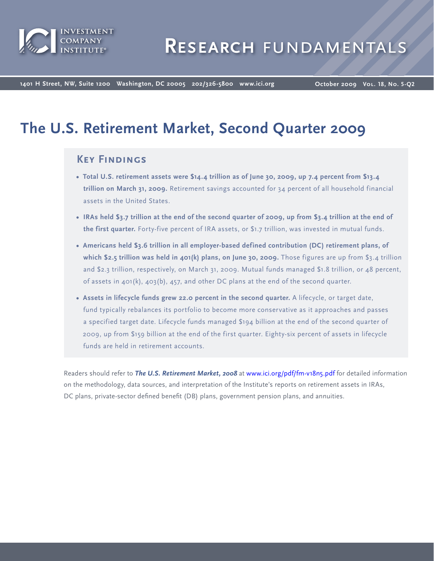

**1401 H Street, NW, Suite 1200 Washington, DC 20005 202/326-5800 www.ici.org**

**October 2009 Vol. 18, No. 5-Q2**

# **The U.S. Retirement Market, Second Quarter 2009**

## **Key Findings**

- **• Total U.S. retirement assets were \$14.4 trillion as of June 30, 2009, up 7.4 percent from \$13.4 trillion on March 31, 2009.** Retirement savings accounted for 34 percent of all household financial assets in the United States.
- **• IRAs held \$3.7 trillion at the end of the second quarter of 2009, up from \$3.4 trillion at the end of the first quarter.** Forty-five percent of IRA assets, or \$1.7 trillion, was invested in mutual funds.
- **• Americans held \$3.6 trillion in all employer-based defined contribution (DC) retirement plans, of which \$2.5 trillion was held in 401(k) plans, on June 30, 2009.** Those figures are up from \$3.4 trillion and \$2.3 trillion, respectively, on March 31, 2009. Mutual funds managed \$1.8 trillion, or 48 percent, of assets in  $401(k)$ ,  $403(b)$ ,  $457$ , and other DC plans at the end of the second quarter.
- **• Assets in lifecycle funds grew 22.0 percent in the second quarter.** A lifecycle, or target date, fund typically rebalances its portfolio to become more conservative as it approaches and passes a specified target date. Lifecycle funds managed \$194 billion at the end of the second quarter of 2009, up from \$159 billion at the end of the first quarter. Eighty-six percent of assets in lifecycle funds are held in retirement accounts.

Readers should refer to *The U.S. Retirement Market, 2008* a[t www.ici.org/pdf/fm-v18n5.pdf](http://www.ici.org/pdf/fm-v18n5.pdf) for detailed information on the methodology, data sources, and interpretation of the Institute's reports on retirement assets in IRAs, DC plans, private-sector defined benefit (DB) plans, government pension plans, and annuities.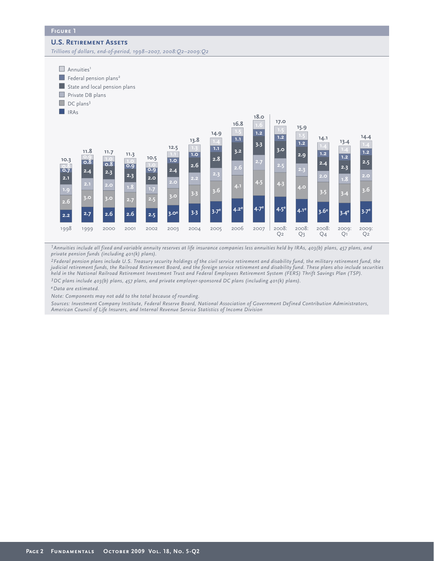#### **U.S. Retirement Assets**

*Trillions of dollars, end-of-period, 1998–2007, 2008:Q2–2009:Q2*



*1Annuities include all fixed and variable annuity reserves at life insurance companies less annuities held by IRAs, 403(b) plans, 457 plans, and private pension funds (including 401(k) plans).*

*2Federal pension plans include U.S. Treasury security holdings of the civil service retirement and disability fund, the military retirement fund, the judicial retirement funds, the Railroad Retirement Board, and the foreign service retirement and disability fund. These plans also include securities held in the National Railroad Retirement Investment Trust and Federal Employees Retirement System (FERS) Thrift Savings Plan (TSP).*

*3DC plans include 403(b) plans, 457 plans, and private employer-sponsored DC plans (including 401(k) plans).* 

*eData are estimated.*

*Note: Components may not add to the total because of rounding.*

*Sources: Investment Company Institute, Federal Reserve Board, National Association of Government Defined Contribution Administrators, American Council of Life Insurers, and Internal Revenue Service Statistics of Income Division*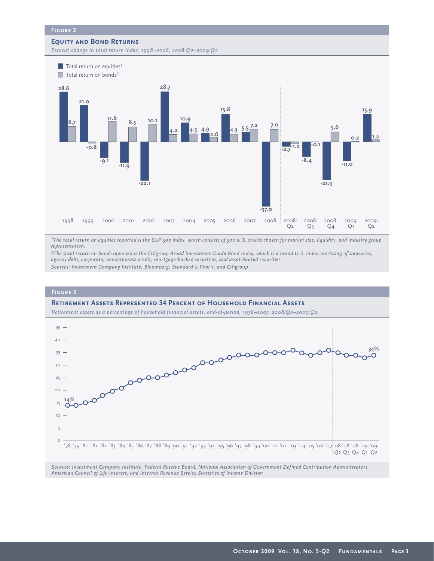#### **Equity and Bond Returns**

*Percent change in total return index, 1998–2008, 2008:Q2–2009:Q2*



*1The total return on equities reported is the S&P 500 index, which consists of 500 U.S. stocks chosen for market size, liquidity, and industry group representation.*

*2The total return on bonds reported is the Citigroup Broad Investment Grade Bond Index, which is a broad U.S. index consisting of treasuries, agency debt, corporate, noncorporate credit, mortgage-backed securities, and asset-backed securities. Sources: Investment Company Institute, Bloomberg, Standard & Poor's, and Citigroup*



*Sources: Investment Company Institute, Federal Reserve Board, National Association of Government Defined Contribution Administrators, American Council of Life Insurers, and Internal Revenue Service Statistics of Income Division*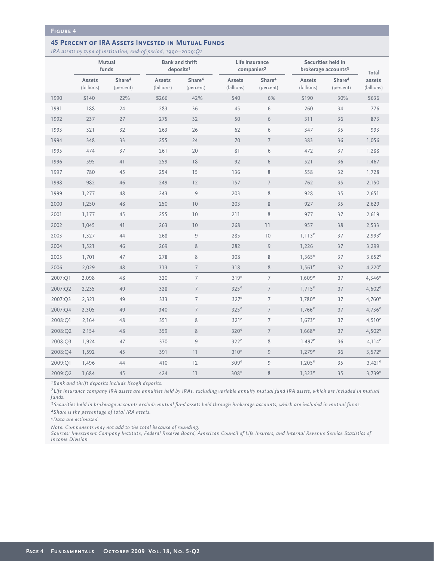#### **Figure 4**

#### **45 PERCENT OF IRA ASSETS INVESTED IN MUTUAL FUNDS**

*IRA assets by type of institution, end-of-period, 1990–2009:Q2*

|         | Mutual<br>funds      |                                 | <b>Bank and thrift</b><br>deposits <sup>1</sup> |                                 |                      | Life insurance<br>comparies <sup>2</sup> | Securities held in<br>brokerage accounts <sup>3</sup> | Total                           |                      |
|---------|----------------------|---------------------------------|-------------------------------------------------|---------------------------------|----------------------|------------------------------------------|-------------------------------------------------------|---------------------------------|----------------------|
|         | Assets<br>(billions) | Share <sup>4</sup><br>(percent) | Assets<br>(billions)                            | Share <sup>4</sup><br>(percent) | Assets<br>(billions) | Share <sup>4</sup><br>(percent)          | Assets<br>(billions)                                  | Share <sup>4</sup><br>(percent) | assets<br>(billions) |
| 1990    | \$140                | 22%                             | \$266                                           | 42%                             | \$40                 | 6%                                       | \$190                                                 | 30%                             | \$636                |
| 1991    | 188                  | 24                              | 283                                             | 36                              | 45                   | 6                                        | 260                                                   | 34                              | 776                  |
| 1992    | 237                  | 27                              | 275                                             | 32                              | 50                   | 6                                        | 311                                                   | 36                              | 873                  |
| 1993    | 321                  | 32                              | 263                                             | 26                              | 62                   | 6                                        | 347                                                   | 35                              | 993                  |
| 1994    | 348                  | 33                              | 255                                             | 24                              | 70                   | $\overline{7}$                           | 383                                                   | 36                              | 1,056                |
| 1995    | 474                  | 37                              | 261                                             | 20                              | 81                   | 6                                        | 472                                                   | 37                              | 1,288                |
| 1996    | 595                  | 41                              | 259                                             | 18                              | 92                   | $6\,$                                    | 521                                                   | 36                              | 1,467                |
| 1997    | 780                  | 45                              | 254                                             | 15                              | 136                  | 8                                        | 558                                                   | 32                              | 1,728                |
| 1998    | 982                  | 46                              | 249                                             | 12                              | 157                  | $\overline{7}$                           | 762                                                   | 35                              | 2,150                |
| 1999    | 1,277                | 48                              | 243                                             | $\mathsf 9$                     | 203                  | $\,$ 8 $\,$                              | 928                                                   | 35                              | 2,651                |
| 2000    | 1,250                | 48                              | 250                                             | 10                              | 203                  | $\,8\,$                                  | 927                                                   | 35                              | 2,629                |
| 2001    | 1,177                | 45                              | 255                                             | 10                              | 211                  | $\,$ 8 $\,$                              | 977                                                   | 37                              | 2,619                |
| 2002    | 1,045                | 41                              | 263                                             | 10                              | 268                  | 11                                       | 957                                                   | 38                              | 2,533                |
| 2003    | 1,327                | 44                              | 268                                             | $\mathsf 9$                     | 285                  | 10                                       | $1,113^e$                                             | 37                              | $2,993^e$            |
| 2004    | 1,521                | 46                              | 269                                             | $\,$ 8 $\,$                     | 282                  | $\overline{9}$                           | 1,226                                                 | 37                              | 3,299                |
| 2005    | 1,701                | 47                              | 278                                             | $\,$ 8 $\,$                     | 308                  | $\,$ 8 $\,$                              | $1,365^e$                                             | 37                              | $3,652^e$            |
| 2006    | 2,029                | 48                              | 313                                             | $\overline{7}$                  | 318                  | $8\,$                                    | $1,561^e$                                             | 37                              | $4,220^e$            |
| 2007:Q1 | 2,098                | 48                              | 320                                             | $\overline{7}$                  | 319 <sup>e</sup>     | $\overline{7}$                           | $1,609^e$                                             | 37                              | $4,346^e$            |
| 2007:Q2 | 2,235                | 49                              | 328                                             | $7\overline{ }$                 | 325 <sup>e</sup>     | $\overline{7}$                           | $1,715^e$                                             | 37                              | $4,602^e$            |
| 2007:Q3 | 2,321                | 49                              | 333                                             | $\overline{7}$                  | 327 <sup>e</sup>     | $\overline{7}$                           | $1,780^e$                                             | 37                              | $4,760^e$            |
| 2007:04 | 2,305                | 49                              | 340                                             | $\overline{7}$                  | 325 <sup>e</sup>     | $\overline{7}$                           | $1,766^e$                                             | 37                              | $4,736^e$            |
| 2008:Q1 | 2,164                | 48                              | 351                                             | $\,$ 8 $\,$                     | 321 <sup>e</sup>     | $\overline{7}$                           | $1,673^e$                                             | 37                              | $4,510^e$            |
| 2008:Q2 | 2,154                | 48                              | 359                                             | 8                               | 320 <sup>e</sup>     | $\overline{7}$                           | $1,668^e$                                             | 37                              | $4,502^e$            |
| 2008:Q3 | 1,924                | 47                              | 370                                             | $\overline{9}$                  | 322 <sup>e</sup>     | $\,$ 8 $\,$                              | $1,497^e$                                             | 36                              | $4,114^e$            |
| 2008:O4 | 1,592                | 45                              | 391                                             | 11                              | 310 <sup>e</sup>     | 9                                        | $1,279^e$                                             | 36                              | $3,572^e$            |
| 2009:O1 | 1,496                | 44                              | 410                                             | 12                              | 309 <sup>e</sup>     | 9                                        | $1,205^e$                                             | 35                              | $3,421^e$            |
| 2009:Q2 | 1,684                | 45                              | 424                                             | 11                              | 308 <sup>e</sup>     | 8                                        | $1,323^e$                                             | 35                              | $3,739^e$            |

*1Bank and thrift deposits include Keogh deposits.* 

*2Life insurance company IRA assets are annuities held by IRAs, excluding variable annuity mutual fund IRA assets, which are included in mutual funds.* 

*3Securities held in brokerage accounts exclude mutual fund assets held through brokerage accounts, which are included in mutual funds.*

*4Share is the percentage of total IRA assets.* 

*eData are estimated.*

*Note: Components may not add to the total because of rounding.* 

*Sources: Investment Company Institute, Federal Reserve Board, American Council of Life Insurers, and Internal Revenue Service Statistics of Income Division*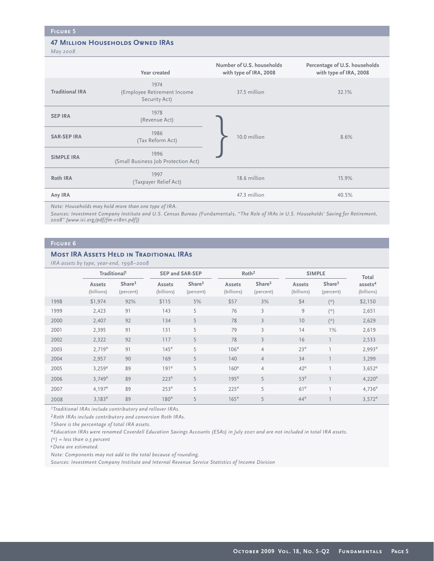## **47 MILLION HOUSEHOLDS OWNED IRAS**

*May 2008*

|                        | Year created                                         | Number of U.S. households<br>with type of IRA, 2008 | Percentage of U.S. households<br>with type of IRA, 2008 |
|------------------------|------------------------------------------------------|-----------------------------------------------------|---------------------------------------------------------|
| <b>Traditional IRA</b> | 1974<br>(Employee Retirement Income<br>Security Act) | 37.5 million                                        | 32.1%                                                   |
| <b>SEP IRA</b>         | 1978<br>(Revenue Act)                                |                                                     |                                                         |
| <b>SAR-SEP IRA</b>     | 1986<br>(Tax Reform Act)                             | 10.0 million                                        | 8.6%                                                    |
| <b>SIMPLE IRA</b>      | 1996<br>(Small Business Job Protection Act)          |                                                     |                                                         |
| Roth IRA               | 1997<br>(Taxpayer Relief Act)                        | 18.6 million                                        | 15.9%                                                   |
| Any IRA                |                                                      | 47.3 million                                        | 40.5%                                                   |

*Note: Households may hold more than one type of IRA.*

*Sources: Investment Company Institute and U.S. Census Bureau (*Fundamentals*, "The Role of IRAs in U.S. Households' Saving for Retirement, 2008" [www.ici.org/pdf/fm-v18n1.pdf ])* 

#### **Figure 6**

#### **MOST IRA ASSETS HELD IN TRADITIONAL IRAS**

*IRA assets by type, year-end, 1998–2008*

|      |                          | $\ldots$ . assers $\sigma$ $\uparrow$ $\uparrow$ $\uparrow$ $\sigma$ , $\uparrow$ $\sigma$ $\ldots$ , $\lceil \cdot \rceil$ $\lceil \cdot \rceil$ $\lceil \cdot \rceil$ |                      |                                 |                      |                                 |                      |                                 |                                   |  |
|------|--------------------------|-------------------------------------------------------------------------------------------------------------------------------------------------------------------------|----------------------|---------------------------------|----------------------|---------------------------------|----------------------|---------------------------------|-----------------------------------|--|
|      | Traditional <sup>1</sup> |                                                                                                                                                                         |                      | <b>SEP and SAR-SEP</b>          |                      | Roth <sup>2</sup>               |                      | <b>SIMPLE</b>                   | Total                             |  |
|      | Assets<br>(billions)     | Share <sup>3</sup><br>(percent)                                                                                                                                         | Assets<br>(billions) | Share <sup>3</sup><br>(percent) | Assets<br>(billions) | Share <sup>3</sup><br>(percent) | Assets<br>(billions) | Share <sup>3</sup><br>(percent) | assets <sup>4</sup><br>(billions) |  |
| 1998 | \$1,974                  | 92%                                                                                                                                                                     | \$115                | 5%                              | \$57                 | 3%                              | \$4                  | $(\star)$                       | \$2,150                           |  |
| 1999 | 2,423                    | 91                                                                                                                                                                      | 143                  | 5                               | 76                   | $\overline{3}$                  | 9                    | $(\star)$                       | 2,651                             |  |
| 2000 | 2,407                    | 92                                                                                                                                                                      | 134                  | 5                               | 78                   | $\overline{3}$                  | 10                   | $(\star)$                       | 2,629                             |  |
| 2001 | 2,395                    | 91                                                                                                                                                                      | 131                  | 5                               | 79                   | 3                               | 14                   | 1%                              | 2,619                             |  |
| 2002 | 2,322                    | 92                                                                                                                                                                      | 117                  | 5                               | 78                   | $\overline{3}$                  | 16                   |                                 | 2,533                             |  |
| 2003 | $2,719^e$                | 91                                                                                                                                                                      | 145 <sup>e</sup>     | 5                               | 106 <sup>e</sup>     | $\overline{4}$                  | 23 <sup>e</sup>      | т                               | $2,993^e$                         |  |
| 2004 | 2,957                    | 90                                                                                                                                                                      | 169                  | 5                               | 140                  | $\overline{4}$                  | 34                   |                                 | 3,299                             |  |
| 2005 | $3,259^e$                | 89                                                                                                                                                                      | 191 <sup>e</sup>     | 5                               | 160 <sup>e</sup>     | $\overline{4}$                  | $42^e$               |                                 | $3,652^e$                         |  |
| 2006 | $3,749^e$                | 89                                                                                                                                                                      | 223 <sup>e</sup>     | 5                               | 195 <sup>e</sup>     | 5                               | 53 <sup>e</sup>      |                                 | $4,220^e$                         |  |
| 2007 | 4.197 <sup>e</sup>       | 89                                                                                                                                                                      | 253 <sup>e</sup>     | 5                               | 225 <sup>e</sup>     | 5                               | 61 <sup>e</sup>      | п                               | $4,736^e$                         |  |
| 2008 | $3,183^e$                | 89                                                                                                                                                                      | 180 <sup>e</sup>     | 5                               | 165 <sup>e</sup>     | 5                               | 44 <sup>e</sup>      |                                 | $3,572^e$                         |  |

*1Traditional IRAs include contributory and rollover IRAs.* 

*2Roth IRAs include contributory and conversion Roth IRAs.* 

*3Share is the percentage of total IRA assets.*

*4Education IRAs were renamed Coverdell Education Savings Accounts (ESAs) in July 2001 and are not included in total IRA assets.*

*(\*) = less than 0.5 percent*

*eData are estimated.*

*Note: Components may not add to the total because of rounding.*

*Sources: Investment Company Institute and Internal Revenue Service Statistics of Income Division*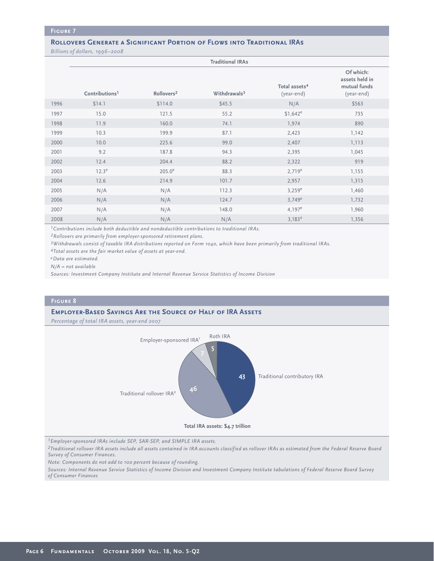#### **Figure 7**

## **ROLLOVERS GENERATE A SIGNIFICANT PORTION OF FLOWS INTO TRADITIONAL IRAS**

*Billions of dollars, 1996–2008*

|      |                            |                        | <b>Traditional IRAs</b>  |                                         |                                                           |
|------|----------------------------|------------------------|--------------------------|-----------------------------------------|-----------------------------------------------------------|
|      | Contributions <sup>1</sup> | Rollovers <sup>2</sup> | Withdrawals <sup>3</sup> | Total assets <sup>4</sup><br>(year-end) | Of which:<br>assets held in<br>mutual funds<br>(year-end) |
| 1996 | \$14.1                     | \$114.0                | \$45.5                   | N/A                                     | \$563                                                     |
| 1997 | 15.0                       | 121.5                  | 55.2                     | $$1,642^e$                              | 735                                                       |
| 1998 | 11.9                       | 160.0                  | 74.1                     | 1,974                                   | 890                                                       |
| 1999 | 10.3                       | 199.9                  | 87.1                     | 2,423                                   | 1,142                                                     |
| 2000 | 10.0                       | 225.6                  | 99.0                     | 2,407                                   | 1,113                                                     |
| 2001 | 9.2                        | 187.8                  | 94.3                     | 2,395                                   | 1,045                                                     |
| 2002 | 12.4                       | 204.4                  | 88.2                     | 2,322                                   | 919                                                       |
| 2003 | 12.3 <sup>e</sup>          | $205.0^e$              | 88.3                     | $2,719^e$                               | 1,155                                                     |
| 2004 | 12.6                       | 214.9                  | 101.7                    | 2,957                                   | 1,315                                                     |
| 2005 | N/A                        | N/A                    | 112.3                    | $3,259^e$                               | 1,460                                                     |
| 2006 | N/A                        | N/A                    | 124.7                    | $3,749^e$                               | 1,732                                                     |
| 2007 | N/A                        | N/A                    | 148.0                    | $4,197^e$                               | 1,960                                                     |
| 2008 | N/A                        | N/A                    | N/A                      | $3,183^e$                               | 1,356                                                     |

*1Contributions include both deductible and nondeductible contributions to traditional IRAs.*

*2Rollovers are primarily from employer-sponsored retirement plans.* 

*3Withdrawals consist of taxable IRA distributions reported on Form 1040, which have been primarily from traditional IRAs.*

*4Total assets are the fair market value of assets at year-end.*

*eData are estimated.*

*N/A = not available*

*Sources: Investment Company Institute and Internal Revenue Service Statistics of Income Division*

#### **Figure 8**

#### **Employer-Based Savings Are the Source of Half of IRA Assets**

*Percentage of total IRA assets, year-end 2007*



*1Employer-sponsored IRAs include SEP, SAR-SEP, and SIMPLE IRA assets.*

*2Traditional rollover IRA assets include all assets contained in IRA accounts classified as rollover IRAs as estimated from the Federal Reserve Board Survey of Consumer Finances.*

*Note: Components do not add to 100 percent because of rounding.*

*Sources: Internal Revenue Service Statistics of Income Division and Investment Company Institute tabulations of Federal Reserve Board Survey of Consumer Finances*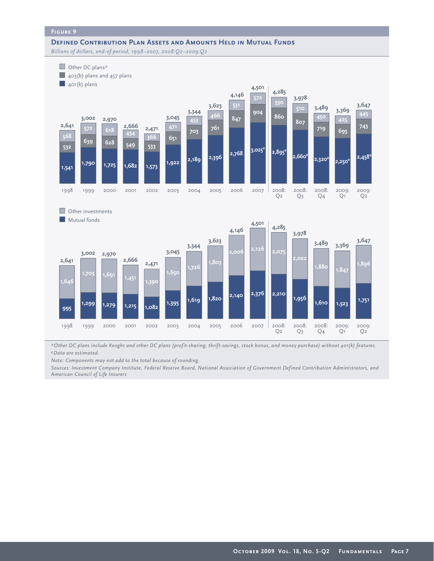#### **Figure 9**

**DEFINED CONTRIBUTION PLAN ASSETS AND AMOUNTS HELD IN MUTUAL FUNDS** *Billions of dollars, end-of-period, 1998–2007, 2008:Q2–2009:Q2*



*\*Other DC plans include Keoghs and other DC plans (profit-sharing, thrift-savings, stock bonus, and money purchase) without 401(k) features. eData are estimated.*

*Note: Components may not add to the total because of rounding.*

*Sources: Investment Company Institute, Federal Reserve Board, National Association of Government Defined Contribution Administrators, and American Council of Life Insurers*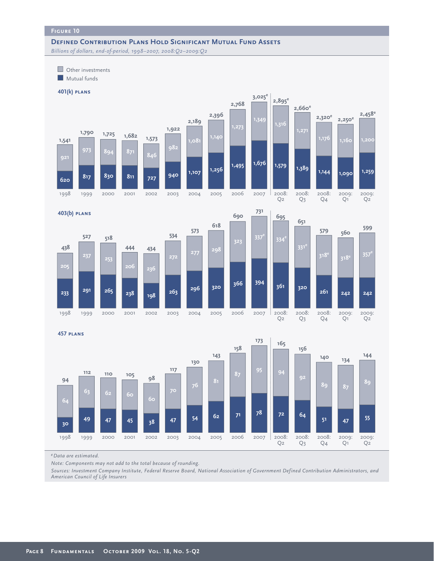#### **DEFINED CONTRIBUTION PLANS HOLD SIGNIFICANT MUTUAL FUND ASSETS** *Billions of dollars, end-of-period, 1998–2007, 2008:Q2–2009:Q2*

 $\Box$  Other investments **Mutual funds** 





2009: Q2

**1,259**

**2,458e**

2009: Q1

**1,090**

**1,160**

**2,250e**

2008: Q4

**1,144**

**1,176**

**2,320e**

Q3

**457 plans**



*eData are estimated.*

*Note: Components may not add to the total because of rounding.*

*Sources: Investment Company Institute, Federal Reserve Board, National Association of Government Defined Contribution Administrators, and American Council of Life Insurers*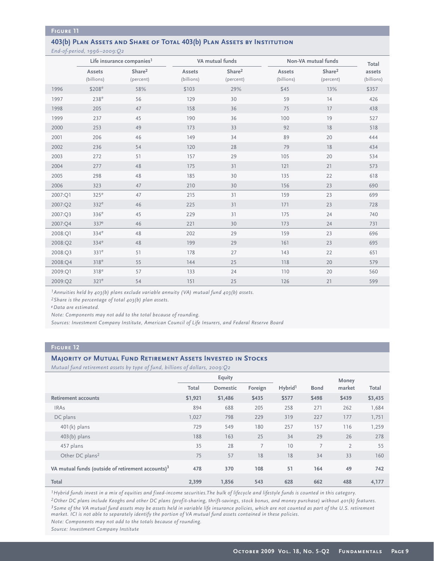#### **Figure 11**

## **403(b) Plan Assets and Share of Total 403(b) Plan Assets by Institution**

*End-of-period, 1996–2009:Q2*

|         |                      | Life insurance companies <sup>1</sup> |                      | VA mutual funds                 |                      | Non-VA mutual funds             | Total                |  |
|---------|----------------------|---------------------------------------|----------------------|---------------------------------|----------------------|---------------------------------|----------------------|--|
|         | Assets<br>(billions) | Share <sup>2</sup><br>(percent)       | Assets<br>(billions) | Share <sup>2</sup><br>(percent) | Assets<br>(billions) | Share <sup>2</sup><br>(percent) | assets<br>(billions) |  |
| 1996    | \$208 <sup>e</sup>   | 58%                                   | \$103                | 29%                             | \$45                 | 13%                             | \$357                |  |
| 1997    | 238 <sup>e</sup>     | 56                                    | 129                  | 30                              | 59                   | 14                              | 426                  |  |
| 1998    | 205                  | 47                                    | 158                  | 36                              | 75                   | 17                              | 438                  |  |
| 1999    | 237                  | 45                                    | 190                  | 36                              | 100                  | 19                              | 527                  |  |
| 2000    | 253                  | 49                                    | 173                  | 33                              | 92                   | 18                              | 518                  |  |
| 2001    | 206                  | 46                                    | 149                  | 34                              | 89                   | 20                              | 444                  |  |
| 2002    | 236                  | 54                                    | 120                  | 28                              | 79                   | 18                              | 434                  |  |
| 2003    | 272                  | 51                                    | 157                  | 29                              | 105                  | 20                              | 534                  |  |
| 2004    | 277                  | 48                                    | 175                  | 31                              | 121                  | 21                              | 573                  |  |
| 2005    | 298                  | 48                                    | 185                  | 30                              | 135                  | 22                              | 618                  |  |
| 2006    | 323                  | 47                                    | 210                  | 30                              | 156                  | 23                              | 690                  |  |
| 2007:Q1 | 325 <sup>e</sup>     | 47                                    | 215                  | 31                              | 159                  | 23                              | 699                  |  |
| 2007:Q2 | 332 <sup>e</sup>     | 46                                    | 225                  | 31                              | 171                  | 23                              | 728                  |  |
| 2007:Q3 | 336 <sup>e</sup>     | 45                                    | 229                  | 31                              | 175                  | 24                              | 740                  |  |
| 2007:Q4 | 337 <sup>e</sup>     | 46                                    | 221                  | 30                              | 173                  | 24                              | 731                  |  |
| 2008:Q1 | 334 <sup>e</sup>     | 48                                    | 202                  | 29                              | 159                  | 23                              | 696                  |  |
| 2008:Q2 | 334 <sup>e</sup>     | 48                                    | 199                  | 29                              | 161                  | 23                              | 695                  |  |
| 2008:Q3 | 331 <sup>e</sup>     | 51                                    | 178                  | 27                              | 143                  | 22                              | 651                  |  |
| 2008:O4 | 318 <sup>e</sup>     | 55                                    | 144                  | 25                              | 118                  | 20                              | 579                  |  |
| 2009:Q1 | 318 <sup>e</sup>     | 57                                    | 133                  | 24                              | 110                  | 20                              | 560                  |  |
| 2009:Q2 | 321 <sup>e</sup>     | 54                                    | 151                  | 25                              | 126                  | 21                              | 599                  |  |

*1Annuities held by 403(b) plans exclude variable annuity (VA) mutual fund 403(b) assets.*

*2Share is the percentage of total 403(b) plan assets.*

*eData are estimated.*

*Note: Components may not add to the total because of rounding.*

*Sources: Investment Company Institute, American Council of Life Insurers, and Federal Reserve Board*

#### **Figure 12**

#### **Majority of Mutual Fund Retirement Assets Invested in Stocks**

*Mutual fund retirement assets by type of fund, billions of dollars, 2009:Q2*

|                                                               |         | Equity   |         |                     |             | Money          |         |
|---------------------------------------------------------------|---------|----------|---------|---------------------|-------------|----------------|---------|
|                                                               | Total   | Domestic | Foreign | Hybrid <sup>1</sup> | <b>Bond</b> | market         | Total   |
| <b>Retirement accounts</b>                                    | \$1,921 | \$1,486  | \$435   | \$577               | \$498       | \$439          | \$3,435 |
| <b>IRAs</b>                                                   | 894     | 688      | 205     | 258                 | 271         | 262            | 1,684   |
| DC plans                                                      | 1,027   | 798      | 229     | 319                 | 227         | 177            | 1,751   |
| $401(k)$ plans                                                | 729     | 549      | 180     | 257                 | 157         | 116            | 1,259   |
| $403(b)$ plans                                                | 188     | 163      | 25      | 34                  | 29          | 26             | 278     |
| 457 plans                                                     | 35      | 28       | 7       | 10                  | 7           | $\overline{2}$ | 55      |
| Other DC plans <sup>2</sup>                                   | 75      | 57       | 18      | 18                  | 34          | 33             | 160     |
| VA mutual funds (outside of retirement accounts) <sup>3</sup> | 478     | 370      | 108     | 51                  | 164         | 49             | 742     |
| Total                                                         | 2,399   | 1,856    | 543     | 628                 | 662         | 488            | 4,177   |

*1Hybrid funds invest in a mix of equities and fixed-income securities.The bulk of lifecycle and lifestyle funds is counted in this category. 2Other DC plans include Keoghs and other DC plans (profit-sharing, thrift-savings, stock bonus, and money purchase) without 401(k) features. 3Some of the VA mutual fund assets may be assets held in variable life insurance policies, which are not counted as part of the U.S. retirement market. ICI is not able to separately identify the portion of VA mutual fund assets contained in these policies. Note: Components may not add to the totals because of rounding.*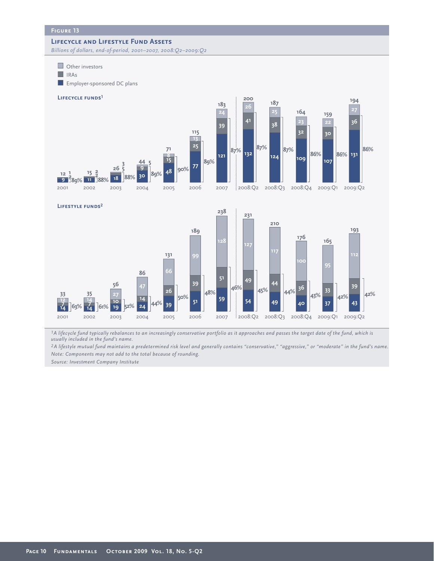#### **Lifecycle and Lifestyle Fund Assets**

*Billions of dollars, end-of-period, 2001–2007, 2008:Q2–2009:Q2*



<sup>1</sup>*A lifecycle fund typically rebalances to an increasingly conservative portfolio as it approaches and passes the target date of the fund, which is usually included in the fund's name.*

2002 2003 2004 2005 2006 2007 2008:Q2 2008:Q3 2008:Q4 2009:Q1 2009:Q2

*A lifestyle mutual fund maintains a predetermined risk level and generally contains "conservative," "aggressive," or "moderate" in the fund's name. Note: Components may not add to the total because of rounding.*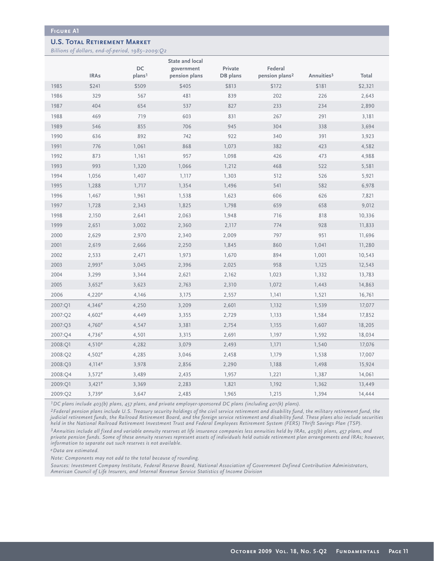#### **U.S. Total Retirement Market**

*Billions of dollars, end-of-period, 1985–2009:Q2*

|         |             | DC                 | <b>State and local</b><br>government | Private  | Federal                    |                        |         |
|---------|-------------|--------------------|--------------------------------------|----------|----------------------------|------------------------|---------|
|         | <b>IRAs</b> | plans <sup>1</sup> | pension plans                        | DB plans | pension plans <sup>2</sup> | Annuities <sup>3</sup> | Total   |
| 1985    | \$241       | \$509              | \$405                                | \$813    | \$172                      | \$181                  | \$2,321 |
| 1986    | 329         | 567                | 481                                  | 839      | 202                        | 226                    | 2,643   |
| 1987    | 404         | 654                | 537                                  | 827      | 233                        | 234                    | 2,890   |
| 1988    | 469         | 719                | 603                                  | 831      | 267                        | 291                    | 3,181   |
| 1989    | 546         | 855                | 706                                  | 945      | 304                        | 338                    | 3,694   |
| 1990    | 636         | 892                | 742                                  | 922      | 340                        | 391                    | 3,923   |
| 1991    | 776         | 1,061              | 868                                  | 1,073    | 382                        | 423                    | 4,582   |
| 1992    | 873         | 1,161              | 957                                  | 1,098    | 426                        | 473                    | 4,988   |
| 1993    | 993         | 1,320              | 1,066                                | 1,212    | 468                        | 522                    | 5,581   |
| 1994    | 1,056       | 1,407              | 1,117                                | 1,303    | 512                        | 526                    | 5,921   |
| 1995    | 1,288       | 1,717              | 1,354                                | 1,496    | 541                        | 582                    | 6,978   |
| 1996    | 1,467       | 1,961              | 1,538                                | 1,623    | 606                        | 626                    | 7,821   |
| 1997    | 1,728       | 2,343              | 1,825                                | 1,798    | 659                        | 658                    | 9,012   |
| 1998    | 2,150       | 2,641              | 2,063                                | 1,948    | 716                        | 818                    | 10,336  |
| 1999    | 2,651       | 3,002              | 2,360                                | 2,117    | 774                        | 928                    | 11,833  |
| 2000    | 2,629       | 2,970              | 2,340                                | 2,009    | 797                        | 951                    | 11,696  |
| 2001    | 2,619       | 2,666              | 2,250                                | 1,845    | 860                        | 1,041                  | 11,280  |
| 2002    | 2,533       | 2,471              | 1,973                                | 1,670    | 894                        | 1,001                  | 10,543  |
| 2003    | $2,993^e$   | 3,045              | 2,396                                | 2,025    | 958                        | 1,125                  | 12,543  |
| 2004    | 3,299       | 3,344              | 2,621                                | 2,162    | 1,023                      | 1,332                  | 13,783  |
| 2005    | $3,652^e$   | 3,623              | 2,763                                | 2,310    | 1,072                      | 1,443                  | 14,863  |
| 2006    | $4,220^e$   | 4,146              | 3,175                                | 2,557    | 1,141                      | 1,521                  | 16,761  |
| 2007:Q1 | $4,346^e$   | 4,250              | 3,209                                | 2,601    | 1,132                      | 1,539                  | 17,077  |
| 2007:Q2 | $4,602^e$   | 4,449              | 3,355                                | 2,729    | 1,133                      | 1,584                  | 17,852  |
| 2007:Q3 | $4,760^e$   | 4,547              | 3,381                                | 2,754    | 1,155                      | 1,607                  | 18,205  |
| 2007:Q4 | $4,736^e$   | 4,501              | 3,315                                | 2,691    | 1,197                      | 1,592                  | 18,034  |
| 2008:Q1 | $4,510^e$   | 4,282              | 3,079                                | 2,493    | 1,171                      | 1,540                  | 17,076  |
| 2008:Q2 | $4,502^e$   | 4,285              | 3,046                                | 2,458    | 1,179                      | 1,538                  | 17,007  |
| 2008:Q3 | $4,114^e$   | 3,978              | 2,856                                | 2,290    | 1,188                      | 1,498                  | 15,924  |
| 2008:Q4 | $3,572^e$   | 3,489              | 2,435                                | 1,957    | 1,221                      | 1,387                  | 14,061  |
| 2009:Q1 | $3,421^e$   | 3,369              | 2,283                                | 1,821    | 1,192                      | 1,362                  | 13,449  |
| 2009:Q2 | $3,739^e$   | 3,647              | 2,485                                | 1,965    | 1,215                      | 1,394                  | 14,444  |

*1DC plans include 403(b) plans, 457 plans, and private employer-sponsored DC plans (including 401(k) plans).* 

*2Federal pension plans include U.S. Treasury security holdings of the civil service retirement and disability fund, the military retirement fund, the judicial retirement funds, the Railroad Retirement Board, and the foreign service retirement and disability fund. These plans also include securities held in the National Railroad Retirement Investment Trust and Federal Employees Retirement System (FERS) Thrift Savings Plan (TSP).*

*3Annuities include all fixed and variable annuity reserves at life insurance companies less annuities held by IRAs, 403(b) plans, 457 plans, and private pension funds. Some of these annuity reserves represent assets of individuals held outside retirement plan arrangements and IRAs; however, information to separate out such reserves is not available.* 

*eData are estimated.*

*Note: Components may not add to the total because of rounding.* 

*Sources: Investment Company Institute, Federal Reserve Board, National Association of Government Defined Contribution Administrators, American Council of Life Insurers, and Internal Revenue Service Statistics of Income Division*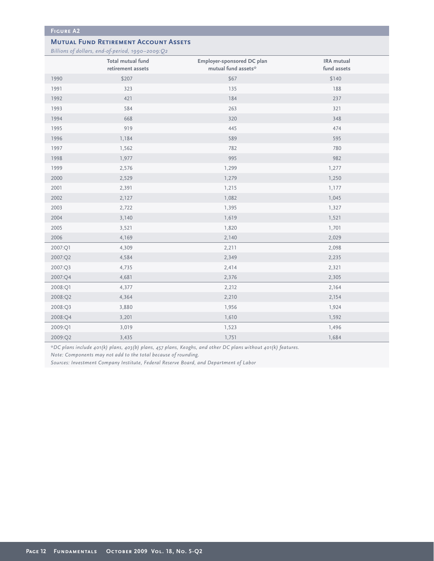#### **Mutual Fund Retirement Account Assets**

*Billions of dollars, end-of-period, 1990–2009:Q2*

|         | Total mutual fund<br>retirement assets | Employer-sponsored DC plan<br>mutual fund assets* | IRA mutual<br>fund assets |
|---------|----------------------------------------|---------------------------------------------------|---------------------------|
| 1990    | \$207                                  | \$67                                              | \$140                     |
| 1991    | 323                                    | 135                                               | 188                       |
| 1992    | 421                                    | 184                                               | 237                       |
| 1993    | 584                                    | 263                                               | 321                       |
| 1994    | 668                                    | 320                                               | 348                       |
| 1995    | 919                                    | 445                                               | 474                       |
| 1996    | 1,184                                  | 589                                               | 595                       |
| 1997    | 1,562                                  | 782                                               | 780                       |
| 1998    | 1,977                                  | 995                                               | 982                       |
| 1999    | 2,576                                  | 1,299                                             | 1,277                     |
| 2000    | 2,529                                  | 1,279                                             | 1,250                     |
| 2001    | 2,391                                  | 1,215                                             | 1,177                     |
| 2002    | 2,127                                  | 1,082                                             | 1,045                     |
| 2003    | 2,722                                  | 1,395                                             | 1,327                     |
| 2004    | 3,140                                  | 1,619                                             | 1,521                     |
| 2005    | 3,521                                  | 1,820                                             | 1,701                     |
| 2006    | 4,169                                  | 2,140                                             | 2,029                     |
| 2007:Q1 | 4,309                                  | 2,211                                             | 2,098                     |
| 2007:Q2 | 4,584                                  | 2,349                                             | 2,235                     |
| 2007:Q3 | 4,735                                  | 2,414                                             | 2,321                     |
| 2007:Q4 | 4,681                                  | 2,376                                             | 2,305                     |
| 2008:Q1 | 4,377                                  | 2,212                                             | 2,164                     |
| 2008:Q2 | 4,364                                  | 2,210                                             | 2,154                     |
| 2008:Q3 | 3,880                                  | 1,956                                             | 1,924                     |
| 2008:Q4 | 3,201                                  | 1,610                                             | 1,592                     |
| 2009:Q1 | 3,019                                  | 1,523                                             | 1,496                     |
| 2009:Q2 | 3,435                                  | 1,751                                             | 1,684                     |

*\*DC plans include 401(k) plans, 403(b) plans, 457 plans, Keoghs, and other DC plans without 401(k) features.* 

*Note: Components may not add to the total because of rounding.* 

*Sources: Investment Company Institute, Federal Reserve Board, and Department of Labor*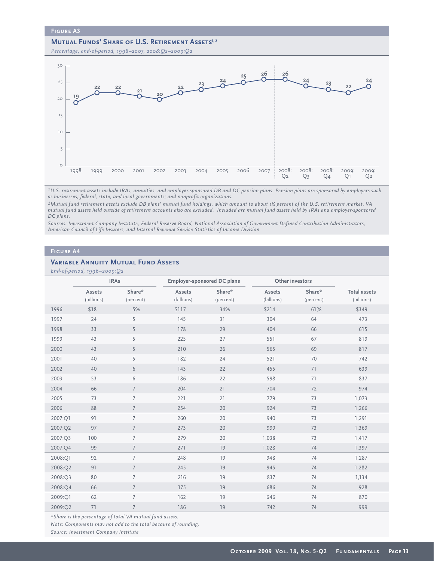#### **MUTUAL FUNDS' SHARE OF U.S. RETIREMENT ASSETS<sup>1, 2</sup>**

*Percentage, end-of-period, 1998–2007, 2008:Q2–2009:Q2*



*1U.S. retirement assets include IRAs, annuities, and employer-sponsored DB and DC pension plans. Pension plans are sponsored by employers such as businesses; federal, state, and local governments; and nonprofit organizations.* 

*2Mutual fund retirement assets exclude DB plans' mutual fund holdings, which amount to about 1½ percent of the U.S. retirement market. VA mutual fund assets held outside of retirement accounts also are excluded. Included are mutual fund assets held by IRAs and employer-sponsored DC plans.* 

*Sources: Investment Company Institute, Federal Reserve Board, National Association of Government Defined Contribution Administrators, American Council of Life Insurers, and Internal Revenue Service Statistics of Income Division*

#### **Figure A4**

#### **Variable Annuity Mutual Fund Assets**

*End-of-period, 1996–2009:Q2*

|         | $L$ <sup>11</sup> by portou, 1990 zoog. $Z^2$ | <b>IRAs</b>         |                      | Employer-sponsored DC plans | Other investors      |                     |                                   |
|---------|-----------------------------------------------|---------------------|----------------------|-----------------------------|----------------------|---------------------|-----------------------------------|
|         | Assets<br>(billions)                          | Share*<br>(percent) | Assets<br>(billions) | Share*<br>(percent)         | Assets<br>(billions) | Share*<br>(percent) | <b>Total assets</b><br>(billions) |
| 1996    | \$18                                          | 5%                  | \$117                | 34%                         | \$214                | 61%                 | \$349                             |
| 1997    | 24                                            | 5                   | 145                  | 31                          | 304                  | 64                  | 473                               |
| 1998    | 33                                            | 5                   | 178                  | 29                          | 404                  | 66                  | 615                               |
| 1999    | 43                                            | 5                   | 225                  | 27                          | 551                  | 67                  | 819                               |
| 2000    | 43                                            | 5                   | 210                  | 26                          | 565                  | 69                  | 817                               |
| 2001    | 40                                            | 5                   | 182                  | 24                          | 521                  | 70                  | 742                               |
| 2002    | 40                                            | 6                   | 143                  | 22                          | 455                  | 71                  | 639                               |
| 2003    | 53                                            | 6                   | 186                  | 22                          | 598                  | 71                  | 837                               |
| 2004    | 66                                            | $7\overline{ }$     | 204                  | 21                          | 704                  | 72                  | 974                               |
| 2005    | 73                                            | $\overline{7}$      | 221                  | 21                          | 779                  | 73                  | 1,073                             |
| 2006    | 88                                            | $\overline{7}$      | 254                  | 20                          | 924                  | 73                  | 1,266                             |
| 2007:Q1 | 91                                            | $\overline{7}$      | 260                  | 20                          | 940                  | 73                  | 1,291                             |
| 2007:Q2 | 97                                            | $7\overline{ }$     | 273                  | 20                          | 999                  | 73                  | 1,369                             |
| 2007:Q3 | 100                                           | $\overline{7}$      | 279                  | 20                          | 1,038                | 73                  | 1,417                             |
| 2007:Q4 | 99                                            | $7\overline{ }$     | 271                  | 19                          | 1,028                | 74                  | 1,397                             |
| 2008:Q1 | 92                                            | $\overline{7}$      | 248                  | 19                          | 948                  | 74                  | 1,287                             |
| 2008:Q2 | 91                                            | $7\overline{ }$     | 245                  | 19                          | 945                  | 74                  | 1,282                             |
| 2008:Q3 | 80                                            | $\overline{7}$      | 216                  | 19                          | 837                  | 74                  | 1,134                             |
| 2008:Q4 | 66                                            | $7\overline{ }$     | 175                  | 19                          | 686                  | 74                  | 928                               |
| 2009:Q1 | 62                                            | $\overline{7}$      | 162                  | 19                          | 646                  | 74                  | 870                               |
| 2009:Q2 | 71                                            | $\overline{7}$      | 186                  | 19                          | 742                  | 74                  | 999                               |

*\*Share is the percentage of total VA mutual fund assets.*

*Note: Components may not add to the total because of rounding.*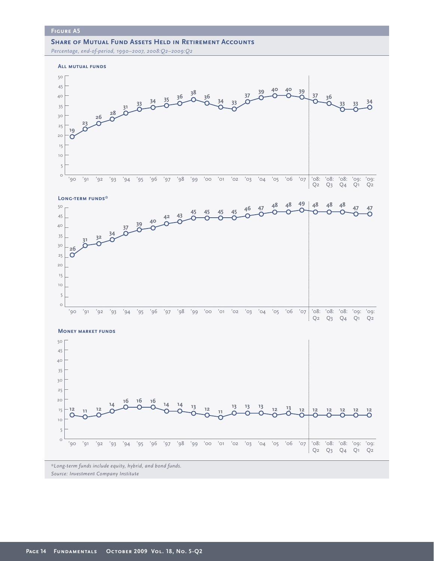## **SHARE OF MUTUAL FUND ASSETS HELD IN RETIREMENT ACCOUNTS**

*Percentage, end-of-period, 1990–2007, 2008:Q2–2009:Q2*



*Source: Investment Company Institute*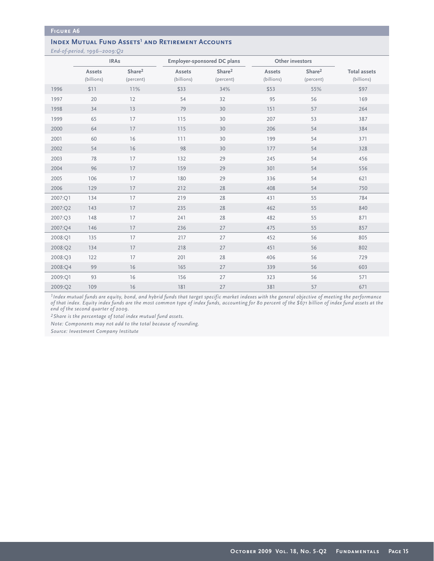#### **INDEX MUTUAL FUND ASSETS<sup>1</sup> AND RETIREMENT ACCOUNTS**

*End-of-period, 1996–2009:Q2*

|         |                      | <b>IRAs</b>                     |                      | <b>Employer-sponsored DC plans</b> |                      | Other investors                 |                                   |
|---------|----------------------|---------------------------------|----------------------|------------------------------------|----------------------|---------------------------------|-----------------------------------|
|         | Assets<br>(billions) | Share <sup>2</sup><br>(percent) | Assets<br>(billions) | Share <sup>2</sup><br>(percent)    | Assets<br>(billions) | Share <sup>2</sup><br>(percent) | <b>Total assets</b><br>(billions) |
| 1996    | \$11                 | 11%                             | \$33                 | 34%                                | \$53                 | 55%                             | \$97                              |
| 1997    | 20                   | 12                              | 54                   | 32                                 | 95                   | 56                              | 169                               |
| 1998    | 34                   | 13                              | 79                   | 30                                 | 151                  | 57                              | 264                               |
| 1999    | 65                   | 17                              | 115                  | 30                                 | 207                  | 53                              | 387                               |
| 2000    | 64                   | 17                              | 115                  | 30                                 | 206                  | 54                              | 384                               |
| 2001    | 60                   | 16                              | 111                  | 30                                 | 199                  | 54                              | 371                               |
| 2002    | 54                   | 16                              | 98                   | 30                                 | 177                  | 54                              | 328                               |
| 2003    | 78                   | 17                              | 132                  | 29                                 | 245                  | 54                              | 456                               |
| 2004    | 96                   | 17                              | 159                  | 29                                 | 301                  | 54                              | 556                               |
| 2005    | 106                  | 17                              | 180                  | 29                                 | 336                  | 54                              | 621                               |
| 2006    | 129                  | 17                              | 212                  | 28                                 | 408                  | 54                              | 750                               |
| 2007:Q1 | 134                  | 17                              | 219                  | 28                                 | 431                  | 55                              | 784                               |
| 2007:Q2 | 143                  | 17                              | 235                  | 28                                 | 462                  | 55                              | 840                               |
| 2007:Q3 | 148                  | 17                              | 241                  | 28                                 | 482                  | 55                              | 871                               |
| 2007:Q4 | 146                  | 17                              | 236                  | 27                                 | 475                  | 55                              | 857                               |
| 2008:Q1 | 135                  | 17                              | 217                  | 27                                 | 452                  | 56                              | 805                               |
| 2008:Q2 | 134                  | 17                              | 218                  | 27                                 | 451                  | 56                              | 802                               |
| 2008:Q3 | 122                  | 17                              | 201                  | 28                                 | 406                  | 56                              | 729                               |
| 2008:Q4 | 99                   | 16                              | 165                  | 27                                 | 339                  | 56                              | 603                               |
| 2009:Q1 | 93                   | 16                              | 156                  | 27                                 | 323                  | 56                              | 571                               |
| 2009:Q2 | 109                  | 16                              | 181                  | 27                                 | 381                  | 57                              | 671                               |

*1Index mutual funds are equity, bond, and hybrid funds that target specific market indexes with the general objective of meeting the performance of that index. Equity index funds are the most common type of index funds, accounting for 80 percent of the \$671 billion of index fund assets at the end of the second quarter of 2009.*

*2Share is the percentage of total index mutual fund assets.*

*Note: Components may not add to the total because of rounding.*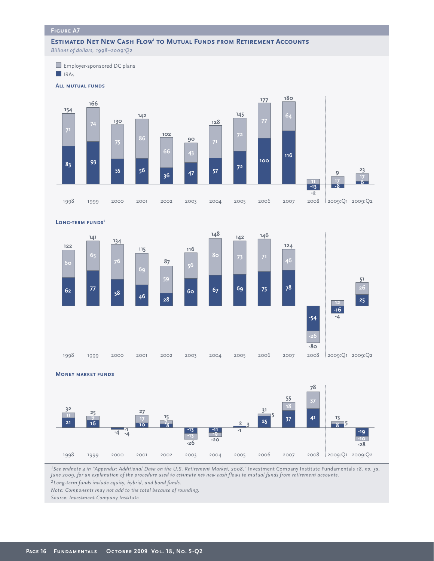## **ESTIMATED NET NEW CASH FLOW<sup>1</sup> TO MUTUAL FUNDS FROM RETIREMENT ACCOUNTS**

*Billions of dollars, 1998–2009:Q2*



**Long-term funds2**



**Money market funds**



<sup>1</sup>*See endnote 4 in "Appendix: Additional Data on the U.S. Retirement Market, 2008," Investment Company Institute Fundamentals 18, no. 5a, June 2009, for an explanation of the procedure used to estimate net new cash flows to mutual funds from retirement accounts. Long-term funds include equity, hybrid, and bond funds.* 

*Note: Components may not add to the total because of rounding.*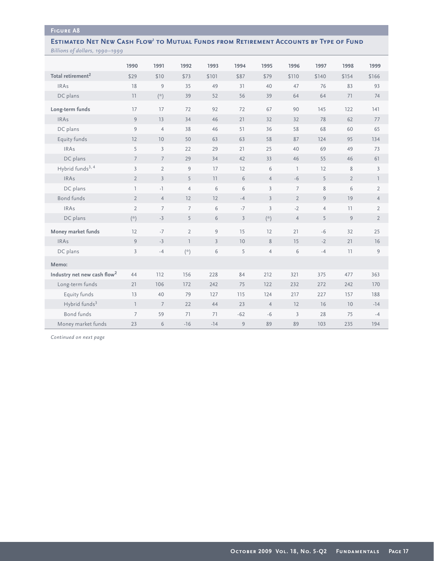#### **ESTIMATED NET NEW CASH FLOW<sup>1</sup> TO MUTUAL FUNDS FROM RETIREMENT ACCOUNTS BY TYPE OF FUND** *Billions of dollars, 1990–1999*

|                                         | 1990            | 1991                        | 1992                                             | 1993           | 1994           | 1995           | 1996            | 1997           | 1998           | 1999           |
|-----------------------------------------|-----------------|-----------------------------|--------------------------------------------------|----------------|----------------|----------------|-----------------|----------------|----------------|----------------|
| Total retirement <sup>2</sup>           | \$29            | \$10                        | \$73                                             | \$101          | \$87           | \$79           | \$110           | \$140          | \$154          | \$166          |
| <b>IRAs</b>                             | 18              | 9                           | 35                                               | 49             | 31             | 40             | 47              | 76             | 83             | 93             |
| DC plans                                | 11              | $\left( \mathcal{R}\right)$ | 39                                               | 52             | 56             | 39             | 64              | 64             | 71             | 74             |
| Long-term funds                         | 17              | 17                          | 72                                               | 92             | 72             | 67             | 90              | 145            | 122            | 141            |
| <b>IRAs</b>                             | 9               | 13                          | 34                                               | 46             | 21             | 32             | 32              | 78             | 62             | 77             |
| DC plans                                | 9               | $\overline{4}$              | 38                                               | 46             | 51             | 36             | 58              | 68             | 60             | 65             |
| Equity funds                            | 12              | 10                          | 50                                               | 63             | 63             | 58             | 87              | 124            | 95             | 134            |
| <b>IRAs</b>                             | 5               | 3                           | 22                                               | 29             | 21             | 25             | 40              | 69             | 49             | 73             |
| DC plans                                | $7\overline{ }$ | $7\overline{ }$             | 29                                               | 34             | 42             | 33             | 46              | 55             | 46             | 61             |
| Hybrid funds <sup>3, 4</sup>            | $\overline{3}$  | $\overline{2}$              | 9                                                | 17             | 12             | 6              | $\overline{1}$  | 12             | 8              | $\overline{3}$ |
| <b>IRAs</b>                             | $\overline{2}$  | $\overline{3}$              | 5                                                | 11             | 6              | $\overline{4}$ | $-6$            | 5              | $\overline{2}$ | $\mathbb{I}$   |
| DC plans                                | $\overline{1}$  | $-1$                        | $\overline{4}$                                   | 6              | 6              | $\overline{3}$ | $7\overline{ }$ | 8              | 6              | $\overline{2}$ |
| <b>Bond funds</b>                       | $\overline{2}$  | $\overline{4}$              | 12                                               | 12             | $-4$           | $\overline{3}$ | $\overline{2}$  | 9              | 19             | $\overline{4}$ |
| <b>IRAs</b>                             | $\overline{2}$  | $\overline{7}$              | $\overline{7}$                                   | 6              | $-7$           | $\overline{3}$ | $-2$            | $\overline{4}$ | 11             | $\overline{2}$ |
| DC plans                                | $(\star)$       | $-3$                        | 5                                                | 6              | $\overline{3}$ | $(\mathbf{A})$ | $\overline{4}$  | 5              | 9              | $\overline{2}$ |
| Money market funds                      | 12              | $-7$                        | $\overline{2}$                                   | 9              | 15             | 12             | 21              | $-6$           | 32             | 25             |
| <b>IRAs</b>                             | 9               | $-3$                        | $\overline{\phantom{a}}$                         | $\overline{3}$ | 10             | $8\,$          | 15              | $-2$           | 21             | 16             |
| DC plans                                | $\overline{3}$  | $-4$                        | $\left( \raisebox{.4ex}{\scriptsize{*}} \right)$ | 6              | 5              | $\overline{4}$ | 6               | $-4$           | 11             | 9              |
| Memo:                                   |                 |                             |                                                  |                |                |                |                 |                |                |                |
| Industry net new cash flow <sup>2</sup> | 44              | 112                         | 156                                              | 228            | 84             | 212            | 321             | 375            | 477            | 363            |
| Long-term funds                         | 21              | 106                         | 172                                              | 242            | 75             | 122            | 232             | 272            | 242            | 170            |
| Equity funds                            | 13              | 40                          | 79                                               | 127            | 115            | 124            | 217             | 227            | 157            | 188            |
| Hybrid funds <sup>3</sup>               | $\overline{1}$  | $7\overline{ }$             | 22                                               | 44             | 23             | $\overline{4}$ | 12              | 16             | 10             | $-14$          |
| <b>Bond funds</b>                       | $\overline{7}$  | 59                          | 71                                               | 71             | $-62$          | $-6$           | $\overline{3}$  | 28             | 75             | $-4$           |
| Money market funds                      | 23              | 6                           | $-16$                                            | $-14$          | 9              | 89             | 89              | 103            | 235            | 194            |

*Continued on next page*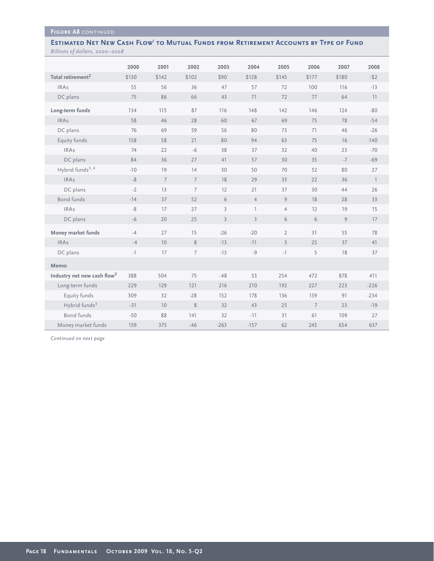#### **ESTIMATED NET NEW CASH FLOW<sup>1</sup> TO MUTUAL FUNDS FROM RETIREMENT ACCOUNTS BY TYPE OF FUND** *Billions of dollars, 2000–2008*

|                                         | 2000  | 2001           | 2002            | 2003           | 2004           | 2005           | 2006            | 2007           | 2008           |
|-----------------------------------------|-------|----------------|-----------------|----------------|----------------|----------------|-----------------|----------------|----------------|
| Total retirement <sup>2</sup>           | \$130 | \$142          | \$102           | \$90           | \$128          | \$145          | \$177           | \$180          | $-52$          |
| <b>IRAs</b>                             | 55    | 56             | 36              | 47             | 57             | 72             | 100             | 116            | $-13$          |
| DC plans                                | 75    | 86             | 66              | 43             | 71             | 72             | 77              | 64             | 11             |
| Long-term funds                         | 134   | 115            | 87              | 116            | 148            | 142            | 146             | 124            | $-80$          |
| <b>IRAs</b>                             | 58    | 46             | 28              | 60             | 67             | 69             | 75              | 78             | $-54$          |
| DC plans                                | 76    | 69             | 59              | 56             | 80             | 73             | 71              | 46             | $-26$          |
| Equity funds                            | 158   | 58             | 21              | 80             | 94             | 63             | 75              | 16             | $-140$         |
| <b>IRAs</b>                             | 74    | 22             | $-6$            | 38             | 37             | 32             | 40              | 23             | $-70$          |
| DC plans                                | 84    | 36             | 27              | 41             | 57             | 30             | 35              | $-7$           | $-69$          |
| Hybrid funds <sup>3, 4</sup>            | $-10$ | 19             | 14              | 30             | 50             | 70             | 52              | 80             | 27             |
| <b>IRAs</b>                             | $-8$  | $\overline{7}$ | $7\overline{ }$ | 18             | 29             | 33             | 22              | 36             | $\overline{1}$ |
| DC plans                                | $-2$  | 13             | $\overline{7}$  | 12             | 21             | 37             | 30              | 44             | 26             |
| Bond funds                              | $-14$ | 37             | 52              | 6              | $\overline{4}$ | 9              | 18              | 28             | 33             |
| <b>IRAs</b>                             | $-8$  | 17             | 27              | $\overline{3}$ | $\mathbb{I}$   | $\overline{4}$ | 12              | 19             | 15             |
| DC plans                                | $-6$  | 20             | 25              | $\overline{3}$ | $\overline{3}$ | 6              | 6               | $\overline{9}$ | 17             |
| Money market funds                      | $-4$  | 27             | 15              | $-26$          | $-20$          | $\overline{2}$ | 31              | 55             | 78             |
| <b>IRAs</b>                             | $-4$  | 10             | $8\phantom{1}$  | $-13$          | $-11$          | $\overline{3}$ | 25              | 37             | 41             |
| DC plans                                | $-1$  | 17             | $\overline{7}$  | $-13$          | $-9$           | $-1$           | 5               | 18             | 37             |
| Memo:                                   |       |                |                 |                |                |                |                 |                |                |
| Industry net new cash flow <sup>2</sup> | 388   | 504            | 75              | $-48$          | 53             | 254            | 472             | 878            | 411            |
| Long-term funds                         | 229   | 129            | 121             | 216            | 210            | 192            | 227             | 223            | $-226$         |
| Equity funds                            | 309   | 32             | $-28$           | 152            | 178            | 136            | 159             | 91             | $-234$         |
| Hybrid funds <sup>3</sup>               | $-31$ | 10             | $\,$ 8 $\,$     | 32             | 43             | 25             | $7\overline{ }$ | 23             | $-19$          |
| Bond funds                              | $-50$ | 88             | 141             | 32             | $-11$          | 31             | 61              | 109            | 27             |
| Money market funds                      | 159   | 375            | $-46$           | $-263$         | $-157$         | 62             | 245             | 654            | 637            |

*Continued on next page*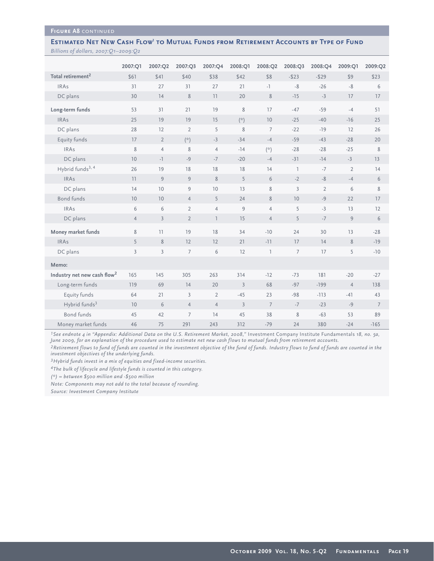#### **Figure A8** continued

#### **ESTIMATED NET NEW CASH FLOW<sup>1</sup> TO MUTUAL FUNDS FROM RETIREMENT ACCOUNTS BY TYPE OF FUND** *Billions of dollars, 2007:Q1–2009:Q2*

|                                         | 2007:Q1        | 2007:Q2        | 2007:Q3         | 2007:Q4        | 2008:Q1        | 2008:Q2        | 2008:Q3        | 2008:Q4        | 2009:Q1        | 2009:Q2        |
|-----------------------------------------|----------------|----------------|-----------------|----------------|----------------|----------------|----------------|----------------|----------------|----------------|
| Total retirement <sup>2</sup>           | \$61           | \$41           | \$40            | \$38           | \$42           | \$8            | $-523$         | $-529$         | \$9            | \$23           |
| <b>IRAs</b>                             | 31             | 27             | 31              | 27             | 21             | $-1$           | $-8$           | $-26$          | $-8$           | 6              |
| DC plans                                | 30             | 14             | $\,8\,$         | 11             | 20             | 8              | $-15$          | $-3$           | 17             | 17             |
| Long-term funds                         | 53             | 31             | 21              | 19             | $\,8\,$        | 17             | $-47$          | $-59$          | $-4$           | 51             |
| <b>IRAs</b>                             | 25             | 19             | 19              | 15             | $(\times)$     | 10             | $-25$          | $-40$          | $-16$          | 25             |
| DC plans                                | 28             | 12             | $\overline{2}$  | 5              | 8              | $\overline{7}$ | $-22$          | $-19$          | 12             | 26             |
| Equity funds                            | 17             | $\overline{2}$ | $(\star)$       | $-3$           | $-34$          | $-4$           | $-59$          | $-43$          | $-28$          | 20             |
| <b>IRAs</b>                             | 8              | $\overline{4}$ | 8               | $\overline{4}$ | $-14$          | $(\times)$     | $-28$          | $-28$          | $-25$          | 8              |
| DC plans                                | 10             | $-1$           | $-9$            | $-7$           | $-20$          | $-4$           | $-31$          | $-14$          | $-3$           | 13             |
| Hybrid funds <sup>3, 4</sup>            | 26             | 19             | 18              | 18             | 18             | 14             | $\mathbb{I}$   | $-7$           | $\overline{2}$ | 14             |
| <b>IRAs</b>                             | 11             | 9              | 9               | 8              | 5              | 6              | $-2$           | $-8$           | $-4$           | 6              |
| DC plans                                | 14             | 10             | 9               | 10             | 13             | 8              | $\overline{3}$ | $\overline{2}$ | 6              | 8              |
| <b>Bond funds</b>                       | 10             | 10             | $\overline{4}$  | 5              | 24             | 8              | 10             | $-9$           | 22             | 17             |
| <b>IRAs</b>                             | 6              | 6              | $\overline{2}$  | $\overline{4}$ | $\overline{9}$ | $\overline{4}$ | 5              | $-3$           | 13             | 12             |
| DC plans                                | $\overline{4}$ | $\overline{3}$ | $\overline{2}$  | $\overline{1}$ | 15             | $\overline{4}$ | 5              | $-7$           | 9              | $6\,$          |
| Money market funds                      | 8              | 11             | 19              | 18             | 34             | $-10$          | 24             | 30             | 13             | $-28$          |
| <b>IRAs</b>                             | 5              | 8              | 12              | 12             | 21             | $-11$          | 17             | 14             | 8              | $-19$          |
| DC plans                                | $\overline{3}$ | $\overline{3}$ | $7\overline{ }$ | 6              | 12             | $\overline{1}$ | $\overline{7}$ | 17             | 5              | $-10$          |
| Memo:                                   |                |                |                 |                |                |                |                |                |                |                |
| Industry net new cash flow <sup>2</sup> | 165            | 145            | 305             | 263            | 314            | $-12$          | $-73$          | 181            | $-20$          | $-27$          |
| Long-term funds                         | 119            | 69             | 14              | 20             | $\overline{3}$ | 68             | $-97$          | $-199$         | $\overline{4}$ | 138            |
| Equity funds                            | 64             | 21             | $\overline{3}$  | $\overline{2}$ | $-45$          | 23             | $-98$          | $-113$         | $-41$          | 43             |
| Hybrid funds <sup>3</sup>               | 10             | 6              | $\overline{4}$  | $\overline{4}$ | $\overline{3}$ | $\overline{7}$ | $-7$           | $-23$          | $-9$           | $\overline{7}$ |
| <b>Bond funds</b>                       | 45             | 42             | $7\overline{ }$ | 14             | 45             | 38             | 8              | $-63$          | 53             | 89             |
| Money market funds                      | 46             | 75             | 291             | 243            | 312            | $-79$          | 24             | 380            | $-24$          | $-165$         |

<sup>1</sup>*See endnote 4 in "Appendix: Additional Data on the U.S. Retirement Market, 2008," Investment Company Institute Fundamentals 18, no. 5a, June 2009, for an explanation of the procedure used to estimate net new cash flows to mutual funds from retirement accounts.*

*2Retirement flows to fund of funds are counted in the investment objective of the fund of funds. Industry flows to fund of funds are counted in the investment objectives of the underlying funds.* 

*3Hybrid funds invest in a mix of equities and fixed-income securities.*

*4The bulk of lifecycle and lifestyle funds is counted in this category.* 

*(\*) = between \$500 million and -\$500 million* 

*Note: Components may not add to the total because of rounding.*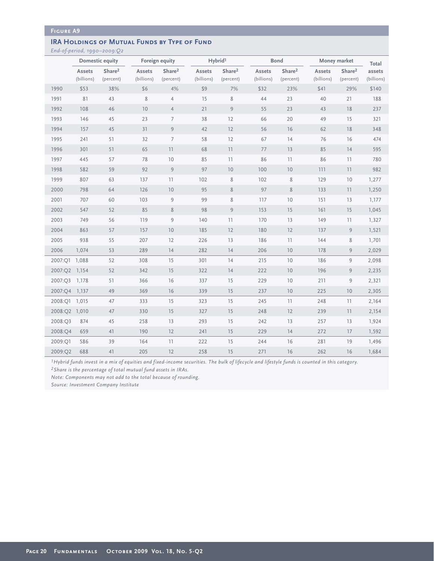## **IRA HOLDINGS OF MUTUAL FUNDS BY TYPE OF FUND**

*End-of-period, 1990–2009:Q2*

|               | Domestic equity             |                                 |                      | Foreign equity                  |                      | Hybrid <sup>1</sup>             |                      | <b>Bond</b>                     |                      | Money market                    |                      |
|---------------|-----------------------------|---------------------------------|----------------------|---------------------------------|----------------------|---------------------------------|----------------------|---------------------------------|----------------------|---------------------------------|----------------------|
|               | <b>Assets</b><br>(billions) | Share <sup>2</sup><br>(percent) | Assets<br>(billions) | Share <sup>2</sup><br>(percent) | Assets<br>(billions) | Share <sup>2</sup><br>(percent) | Assets<br>(billions) | Share <sup>2</sup><br>(percent) | Assets<br>(billions) | Share <sup>2</sup><br>(percent) | assets<br>(billions) |
| 1990          | \$53                        | 38%                             | \$6                  | 4%                              | \$9                  | 7%                              | \$32                 | 23%                             | \$41                 | 29%                             | \$140                |
| 1991          | 81                          | 43                              | $\,$ 8 $\,$          | $\overline{4}$                  | 15                   | $\,8\,$                         | 44                   | 23                              | 40                   | 21                              | 188                  |
| 1992          | 108                         | 46                              | 10                   | $\overline{4}$                  | 21                   | 9                               | 55                   | 23                              | 43                   | 18                              | 237                  |
| 1993          | 146                         | 45                              | 23                   | $\overline{7}$                  | 38                   | 12                              | 66                   | 20                              | 49                   | 15                              | 321                  |
| 1994          | 157                         | 45                              | 31                   | $\overline{9}$                  | 42                   | 12                              | 56                   | 16                              | 62                   | 18                              | 348                  |
| 1995          | 241                         | 51                              | 32                   | $\overline{7}$                  | 58                   | 12                              | 67                   | 14                              | 76                   | 16                              | 474                  |
| 1996          | 301                         | 51                              | 65                   | 11                              | 68                   | 11                              | 77                   | 13                              | 85                   | 14                              | 595                  |
| 1997          | 445                         | 57                              | 78                   | 10                              | 85                   | 11                              | 86                   | 11                              | 86                   | 11                              | 780                  |
| 1998          | 582                         | 59                              | 92                   | 9                               | 97                   | 10                              | 100                  | 10                              | 111                  | 11                              | 982                  |
| 1999          | 807                         | 63                              | 137                  | 11                              | 102                  | $\,8\,$                         | 102                  | $\,8\,$                         | 129                  | 10                              | 1,277                |
| 2000          | 798                         | 64                              | 126                  | 10                              | 95                   | $8\,$                           | 97                   | $8\,$                           | 133                  | 11                              | 1,250                |
| 2001          | 707                         | 60                              | 103                  | 9                               | 99                   | $\,$ 8 $\,$                     | 117                  | 10                              | 151                  | 13                              | 1,177                |
| 2002          | 547                         | 52                              | 85                   | 8                               | 98                   | $\overline{9}$                  | 153                  | 15                              | 161                  | 15                              | 1,045                |
| 2003          | 749                         | 56                              | 119                  | 9                               | 140                  | 11                              | 170                  | 13                              | 149                  | 11                              | 1,327                |
| 2004          | 863                         | 57                              | 157                  | 10                              | 185                  | 12                              | 180                  | 12                              | 137                  | 9                               | 1,521                |
| 2005          | 938                         | 55                              | 207                  | 12                              | 226                  | 13                              | 186                  | 11                              | 144                  | 8                               | 1,701                |
| 2006          | 1,074                       | 53                              | 289                  | 14                              | 282                  | 14                              | 206                  | 10                              | 178                  | 9                               | 2,029                |
| 2007:Q1 1,088 |                             | 52                              | 308                  | 15                              | 301                  | 14                              | 215                  | 10                              | 186                  | 9                               | 2,098                |
| 2007:Q2       | 1,154                       | 52                              | 342                  | 15                              | 322                  | 14                              | 222                  | 10                              | 196                  | 9                               | 2,235                |
| 2007:Q3       | 1,178                       | 51                              | 366                  | 16                              | 337                  | 15                              | 229                  | 10                              | 211                  | $\overline{9}$                  | 2,321                |
| 2007:Q4       | 1,137                       | 49                              | 369                  | 16                              | 339                  | 15                              | 237                  | 10                              | 225                  | 10                              | 2,305                |
| 2008:O1       | 1,015                       | 47                              | 333                  | 15                              | 323                  | 15                              | 245                  | 11                              | 248                  | 11                              | 2,164                |
| 2008:Q2 1,010 |                             | 47                              | 330                  | 15                              | 327                  | 15                              | 248                  | 12                              | 239                  | 11                              | 2,154                |
| 2008:Q3       | 874                         | 45                              | 258                  | 13                              | 293                  | 15                              | 242                  | 13                              | 257                  | 13                              | 1,924                |
| 2008:04       | 659                         | 41                              | 190                  | 12                              | 241                  | 15                              | 229                  | 14                              | 272                  | 17                              | 1,592                |
| 2009:O1       | 586                         | 39                              | 164                  | 11                              | 222                  | 15                              | 244                  | 16                              | 281                  | 19                              | 1,496                |
| 2009:Q2       | 688                         | 41                              | 205                  | 12                              | 258                  | 15                              | 271                  | 16                              | 262                  | 16                              | 1,684                |

*1Hybrid funds invest in a mix of equities and fixed-income securities. The bulk of lifecycle and lifestyle funds is counted in this category.*

*2Share is the percentage of total mutual fund assets in IRAs.*

*Note: Components may not add to the total because of rounding.*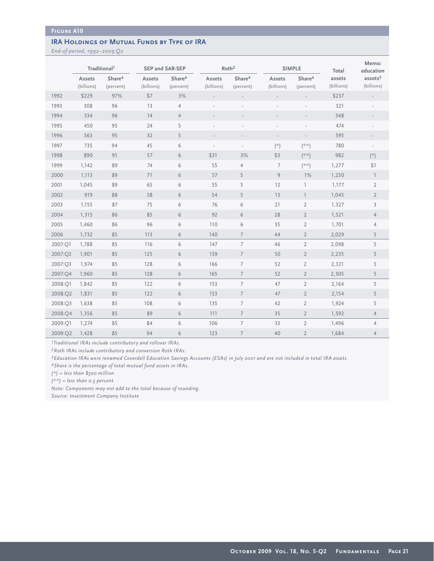### **IRA HOLDINGS OF MUTUAL FUNDS BY TYPE OF IRA**

*End-of-period, 1992–2009:Q2*

|         | Traditional <sup>1</sup> |                                 |                      | <b>SEP and SAR-SEP</b>          |                          | Roth <sup>2</sup>               |                          | <b>SIMPLE</b>                   | Total                | Memo:<br>education              |
|---------|--------------------------|---------------------------------|----------------------|---------------------------------|--------------------------|---------------------------------|--------------------------|---------------------------------|----------------------|---------------------------------|
|         | Assets<br>(billions)     | Share <sup>4</sup><br>(percent) | Assets<br>(billions) | Share <sup>4</sup><br>(percent) | Assets<br>(billions)     | Share <sup>4</sup><br>(percent) | Assets<br>(billions)     | Share <sup>4</sup><br>(percent) | assets<br>(billions) | ases <sup>3</sup><br>(billions) |
| 1992    | \$229                    | 97%                             | \$7                  | 3%                              |                          |                                 |                          |                                 | \$237                |                                 |
| 1993    | 308                      | 96                              | 13                   | $\overline{4}$                  | ÷,                       | $\overline{\phantom{a}}$        |                          |                                 | 321                  |                                 |
| 1994    | 334                      | 96                              | 14                   | $\overline{4}$                  |                          |                                 |                          |                                 | 348                  |                                 |
| 1995    | 450                      | 95                              | 24                   | 5                               |                          |                                 |                          |                                 | 474                  |                                 |
| 1996    | 563                      | 95                              | 32                   | 5                               | $\overline{\phantom{a}}$ | $\overline{\phantom{a}}$        | $\overline{\phantom{a}}$ | $\overline{\phantom{a}}$        | 595                  | $\overline{\phantom{a}}$        |
| 1997    | 735                      | 94                              | 45                   | 6                               |                          |                                 | $(\dot{z})$              | $(** )$                         | 780                  |                                 |
| 1998    | 890                      | 91                              | 57                   | 6                               | \$31                     | 3%                              | \$3                      | $(* * )$                        | 982                  | $(\star)$                       |
| 1999    | 1,142                    | 89                              | 74                   | 6                               | 55                       | $\overline{4}$                  | $\overline{7}$           | (**)                            | 1,277                | \$1                             |
| 2000    | 1,113                    | 89                              | 71                   | 6                               | 57                       | 5                               | 9                        | 1%                              | 1,250                | $\mathbb{I}$                    |
| 2001    | 1,045                    | 89                              | 65                   | 6                               | 55                       | 5                               | 12                       | $\overline{1}$                  | 1,177                | $\overline{2}$                  |
| 2002    | 919                      | 88                              | 58                   | 6                               | 54                       | 5                               | 13                       | $\overline{1}$                  | 1,045                | $\overline{2}$                  |
| 2003    | 1,155                    | 87                              | 75                   | 6                               | 76                       | 6                               | 21                       | $\overline{2}$                  | 1,327                | $\overline{3}$                  |
| 2004    | 1,315                    | 86                              | 85                   | 6                               | 92                       | 6                               | 28                       | $\overline{2}$                  | 1,521                | $\overline{4}$                  |
| 2005    | 1,460                    | 86                              | 96                   | 6                               | 110                      | 6                               | 35                       | $\overline{2}$                  | 1,701                | $\overline{4}$                  |
| 2006    | 1,732                    | 85                              | 113                  | 6                               | 140                      | $\overline{7}$                  | 44                       | $\overline{2}$                  | 2,029                | 5                               |
| 2007:Q1 | 1,788                    | 85                              | 116                  | 6                               | 147                      | $\overline{7}$                  | 46                       | $\overline{2}$                  | 2,098                | 5                               |
| 2007:Q2 | 1,901                    | 85                              | 125                  | 6                               | 159                      | $\overline{7}$                  | 50                       | $\overline{2}$                  | 2,235                | 5                               |
| 2007:Q3 | 1,974                    | 85                              | 128                  | 6                               | 166                      | $\overline{7}$                  | 52                       | $\overline{2}$                  | 2,321                | 5                               |
| 2007:Q4 | 1,960                    | 85                              | 128                  | 6                               | 165                      | $\overline{7}$                  | 52                       | $\overline{2}$                  | 2,305                | 5                               |
| 2008:Q1 | 1,842                    | 85                              | 122                  | 6                               | 153                      | $\overline{7}$                  | 47                       | $\overline{2}$                  | 2,164                | 5                               |
| 2008:Q2 | 1,831                    | 85                              | 122                  | 6                               | 153                      | $\overline{7}$                  | 47                       | $\overline{2}$                  | 2,154                | 5                               |
| 2008:Q3 | 1,638                    | 85                              | 108                  | 6                               | 135                      | $\overline{7}$                  | 42                       | $\overline{2}$                  | 1,924                | 5                               |
| 2008:04 | 1,356                    | 85                              | 89                   | 6                               | 111                      | 7                               | 35                       | $\overline{2}$                  | 1,592                | $\overline{4}$                  |
| 2009:Q1 | 1,274                    | 85                              | 84                   | 6                               | 106                      | $7\overline{ }$                 | 33                       | $\overline{2}$                  | 1,496                | $\overline{4}$                  |
| 2009:Q2 | 1,428                    | 85                              | 94                   | 6                               | 123                      | $\overline{7}$                  | 40                       | $\overline{2}$                  | 1,684                | $\overline{4}$                  |

*1Traditional IRAs include contributory and rollover IRAs.* 

*2Roth IRAs include contributory and conversion Roth IRAs.* 

*3Education IRAs were renamed Coverdell Education Savings Accounts (ESAs) in July 2001 and are not included in total IRA assets.*

*4Share is the percentage of total mutual fund assets in IRAs.*

*(\*) = less than \$500 million*

*(\*\*) = less than 0.5 percent*

*Note: Components may not add to the total because of rounding.*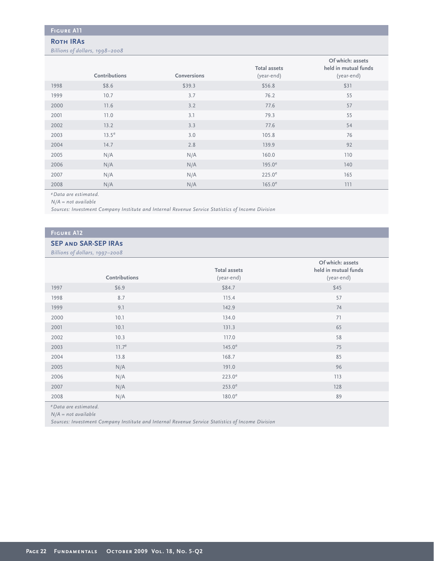#### **Roth IRAs**

*Billions of dollars, 1998–2008*

|      | Contributions     | Conversions | <b>Total assets</b><br>(year-end) | Of which: assets<br>held in mutual funds<br>(year-end) |
|------|-------------------|-------------|-----------------------------------|--------------------------------------------------------|
| 1998 | \$8.6             | \$39.3      | \$56.8                            | \$31                                                   |
| 1999 | 10.7              | 3.7         | 76.2                              | 55                                                     |
| 2000 | 11.6              | 3.2         | 77.6                              | 57                                                     |
| 2001 | 11.0              | 3.1         | 79.3                              | 55                                                     |
| 2002 | 13.2              | 3.3         | 77.6                              | 54                                                     |
| 2003 | 13.5 <sup>e</sup> | 3.0         | 105.8                             | 76                                                     |
| 2004 | 14.7              | 2.8         | 139.9                             | 92                                                     |
| 2005 | N/A               | N/A         | 160.0                             | 110                                                    |
| 2006 | N/A               | N/A         | $195.0^e$                         | 140                                                    |
| 2007 | N/A               | N/A         | $225.0^e$                         | 165                                                    |
| 2008 | N/A               | N/A         | $165.0^e$                         | 111                                                    |

*eData are estimated.*

*N/A = not available*

*Sources: Investment Company Institute and Internal Revenue Service Statistics of Income Division* 

### **Figure A12**

#### **SEP and SAR-SEP IRAs**

*Billions of dollars, 1997–2008*

| $\sim$ | $\sim$ $\sim$ $\sim$ |                                   |                                                        |
|--------|----------------------|-----------------------------------|--------------------------------------------------------|
|        | Contributions        | <b>Total assets</b><br>(year-end) | Of which: assets<br>held in mutual funds<br>(year-end) |
| 1997   | \$6.9                | \$84.7                            | \$45                                                   |
| 1998   | 8.7                  | 115.4                             | 57                                                     |
| 1999   | 9.1                  | 142.9                             | 74                                                     |
| 2000   | 10.1                 | 134.0                             | 71                                                     |
| 2001   | 10.1                 | 131.3                             | 65                                                     |
| 2002   | 10.3                 | 117.0                             | 58                                                     |
| 2003   | $11.7^e$             | $145.0^e$                         | 75                                                     |
| 2004   | 13.8                 | 168.7                             | 85                                                     |
| 2005   | N/A                  | 191.0                             | 96                                                     |
| 2006   | N/A                  | $223.0^e$                         | 113                                                    |
| 2007   | N/A                  | $253.0^e$                         | 128                                                    |
| 2008   | N/A                  | 180.0 <sup>e</sup>                | 89                                                     |

*eData are estimated.* 

*N/A = not available* 

*Sources: Investment Company Institute and Internal Revenue Service Statistics of Income Division*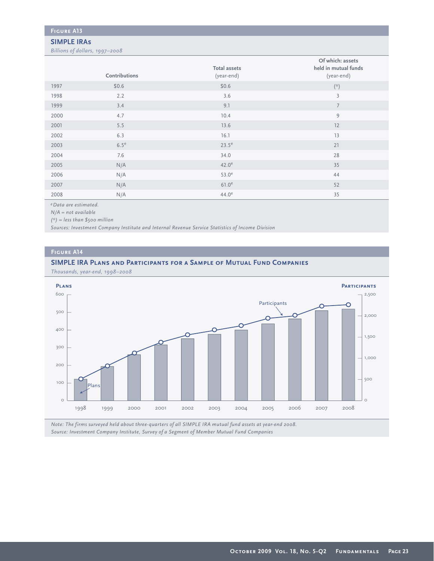#### **SIMPLE IRAs**

*Billions of dollars, 1997–2008*

|      | Contributions    | <b>Total assets</b><br>(year-end) | Of which: assets<br>held in mutual funds<br>(year-end) |
|------|------------------|-----------------------------------|--------------------------------------------------------|
| 1997 | \$0.6            | \$0.6                             | $(\dot{z})$                                            |
| 1998 | 2.2              | 3.6                               | $\overline{3}$                                         |
| 1999 | 3.4              | 9.1                               | $7\overline{ }$                                        |
| 2000 | 4.7              | 10.4                              | 9                                                      |
| 2001 | 5.5              | 13.6                              | 12                                                     |
| 2002 | 6.3              | 16.1                              | 13                                                     |
| 2003 | 6.5 <sup>e</sup> | $23.5^e$                          | 21                                                     |
| 2004 | 7.6              | 34.0                              | 28                                                     |
| 2005 | N/A              | 42.0 <sup>e</sup>                 | 35                                                     |
| 2006 | N/A              | $53.0^\mathrm{e}$                 | 44                                                     |
| 2007 | N/A              | 61.0 <sup>e</sup>                 | 52                                                     |
| 2008 | N/A              | $44.0^e$                          | 35                                                     |

*eData are estimated.*

*N/A = not available*

*(\*) = less than \$500 million*

*Sources: Investment Company Institute and Internal Revenue Service Statistics of Income Division*

#### **Figure A14**

#### **SIMPLE IRA Plans and Participants for a Sample of Mutual Fund Companies**

*Thousands, year-end, 1998–2008*



*Note: The firms surveyed held about three-quarters of all SIMPLE IRA mutual fund assets at year-end 2008. Source: Investment Company Institute, Survey of a Segment of Member Mutual Fund Companies*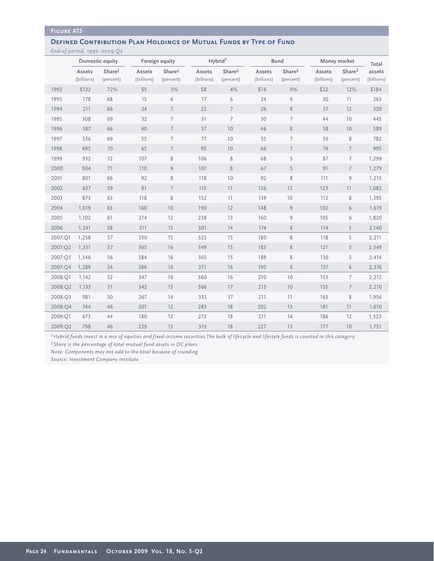#### **DEFINED CONTRIBUTION PLAN HOLDINGS OF MUTUAL FUNDS BY TYPE OF FUND**

*End-of-period, 1992–2009:Q2*

|         | Domestic equity      |                                 |                      | Foreign equity                  |                      | Hybrid <sup>1</sup>              |                      | <b>Bond</b>                     |                      | Money market                    | Total                |
|---------|----------------------|---------------------------------|----------------------|---------------------------------|----------------------|----------------------------------|----------------------|---------------------------------|----------------------|---------------------------------|----------------------|
|         | Assets<br>(billions) | Share <sup>2</sup><br>(percent) | Assets<br>(billions) | Share <sup>2</sup><br>(percent) | Assets<br>(billions) | Share <sup>2</sup><br>(percent)  | Assets<br>(billions) | Share <sup>2</sup><br>(percent) | Assets<br>(billions) | Share <sup>2</sup><br>(percent) | assets<br>(billions) |
| 1992    | \$132                | 72%                             | \$5                  | 3%                              | \$8                  | 4%                               | \$16                 | 9%                              | \$22                 | 12%                             | \$184                |
| 1993    | 178                  | 68                              | 15                   | 6                               | 17                   | 6                                | 24                   | 9                               | 30                   | 11                              | 263                  |
| 1994    | 211                  | 66                              | 24                   | $\overline{7}$                  | 22                   | $\overline{7}$                   | 26                   | $\,8\,$                         | 37                   | 12                              | 320                  |
| 1995    | 308                  | 69                              | 32                   | $\overline{7}$                  | 31                   | $\overline{7}$                   | 30                   | $\overline{7}$                  | 44                   | 10                              | 445                  |
| 1996    | 387                  | 66                              | 40                   | $\overline{7}$                  | 57                   | 10                               | 46                   | 8                               | 58                   | $10$                            | 589                  |
| 1997    | 536                  | 69                              | 55                   | $\overline{7}$                  | 77                   | 10                               | 55                   | $\overline{7}$                  | 59                   | $\,$ 8 $\,$                     | 782                  |
| 1998    | 695                  | 70                              | 65                   | $7\overline{ }$                 | 95                   | 10                               | 66                   | $\overline{7}$                  | 74                   | $7\overline{ }$                 | 995                  |
| 1999    | 932                  | 72                              | 107                  | $\,$ 8 $\,$                     | 106                  | 8                                | 68                   | 5                               | 87                   | $7\overline{ }$                 | 1,299                |
| 2000    | 904                  | 71                              | 110                  | $\overline{9}$                  | 107                  | $\,$ 8 $\,$                      | 67                   | 5                               | 91                   | $\overline{7}$                  | 1,279                |
| 2001    | 801                  | 66                              | 92                   | 8                               | 118                  | 10                               | 92                   | 8                               | 111                  | $\mathcal{G}$                   | 1,215                |
| 2002    | 637                  | 59                              | 81                   | $7\overline{ }$                 | 115                  | 11                               | 126                  | 12                              | 123                  | 11                              | 1,082                |
| 2003    | 873                  | 63                              | 118                  | $\,$ 8 $\,$                     | 152                  | $\begin{array}{c} 1 \end{array}$ | 139                  | 10                              | 112                  | $\,$ 8 $\,$                     | 1,395                |
| 2004    | 1,019                | 63                              | 160                  | 10                              | 190                  | 12                               | 148                  | $\overline{9}$                  | 102                  | 6                               | 1,619                |
| 2005    | 1,102                | 61                              | 214                  | 12                              | 238                  | 13                               | 160                  | $\overline{9}$                  | 105                  | 6                               | 1,820                |
| 2006    | 1,241                | 58                              | 311                  | 15                              | 301                  | 14                               | 174                  | 8                               | 114                  | 5                               | 2,140                |
| 2007:Q1 | 1,258                | 57                              | 330                  | 15                              | 325                  | 15                               | 180                  | 8                               | 118                  | 5                               | 2,211                |
| 2007:Q2 | 1,331                | 57                              | 365                  | 16                              | 349                  | 15                               | 183                  | $\,8\,$                         | 121                  | 5                               | 2,349                |
| 2007:Q3 | 1,346                | 56                              | 384                  | 16                              | 365                  | 15                               | 189                  | 8                               | 130                  | 5                               | 2,414                |
| 2007:Q4 | 1,289                | 54                              | 386                  | 16                              | 371                  | 16                               | 193                  | $8\,$                           | 137                  | 6                               | 2,376                |
| 2008:Q1 | 1,142                | 52                              | 347                  | 16                              | 360                  | 16                               | 210                  | 10                              | 153                  | 7                               | 2,212                |
| 2008:Q2 | 1,133                | 51                              | 342                  | 15                              | 366                  | 17                               | 213                  | 10                              | 155                  | $\overline{7}$                  | 2,210                |
| 2008:O3 | 981                  | 50                              | 267                  | 14                              | 333                  | 17                               | 211                  | 11                              | 163                  | 8                               | 1,956                |
| 2008:04 | 744                  | 46                              | 201                  | 12                              | 283                  | 18                               | 202                  | 13                              | 181                  | 11                              | 1,610                |
| 2009:Q1 | 673                  | 44                              | 180                  | 12                              | 272                  | 18                               | 211                  | 14                              | 186                  | 12                              | 1,523                |
| 2009:Q2 | 798                  | 46                              | 229                  | 13                              | 319                  | 18                               | 227                  | 13                              | 177                  | 10                              | 1,751                |

*1Hybrid funds invest in a mix of equities and fixed-income securities.The bulk of lifecycle and lifestyle funds is counted in this category. 2Share is the percentage of total mutual fund assets in DC plans.*

*Note: Components may not add to the total because of rounding.*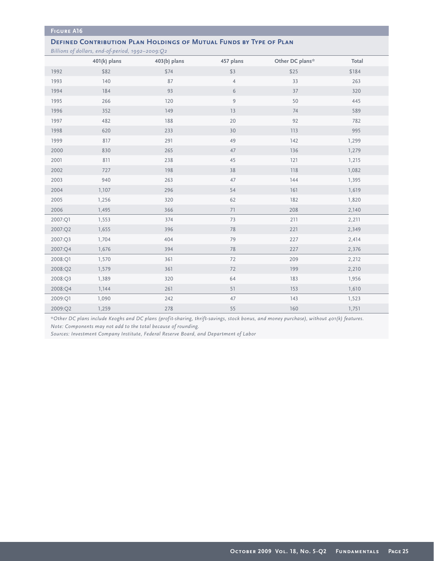## **DEFINED CONTRIBUTION PLAN HOLDINGS OF MUTUAL FUNDS BY TYPE OF PLAN**

*Billions of dollars, end-of-period, 1992–2009:Q2*

|         | $J_{\perp}$<br>$\sim$ $\sim$ $\sim$<br>$401(k)$ plans | $\sim$ $\sim$<br>$403(b)$ plans | 457 plans      | Other DC plans* | Total |
|---------|-------------------------------------------------------|---------------------------------|----------------|-----------------|-------|
| 1992    | \$82                                                  | \$74                            | \$3            | \$25            | \$184 |
| 1993    | 140                                                   | 87                              | $\overline{4}$ | 33              | 263   |
| 1994    | 184                                                   | 93                              | 6              | $37\,$          | 320   |
| 1995    | 266                                                   | 120                             | 9              | 50              | 445   |
| 1996    | 352                                                   | 149                             | 13             | 74              | 589   |
| 1997    | 482                                                   | 188                             | 20             | 92              | 782   |
| 1998    | 620                                                   | 233                             | 30             | 113             | 995   |
| 1999    | 817                                                   | 291                             | 49             | 142             | 1,299 |
| 2000    | 830                                                   | 265                             | 47             | 136             | 1,279 |
| 2001    | 811                                                   | 238                             | $45\,$         | 121             | 1,215 |
| 2002    | 727                                                   | 198                             | 38             | 118             | 1,082 |
| 2003    | 940                                                   | 263                             | 47             | 144             | 1,395 |
| 2004    | 1,107                                                 | 296                             | 54             | 161             | 1,619 |
| 2005    | 1,256                                                 | 320                             | 62             | 182             | 1,820 |
| 2006    | 1,495                                                 | 366                             | 71             | 208             | 2,140 |
| 2007:Q1 | 1,553                                                 | 374                             | 73             | 211             | 2,211 |
| 2007:Q2 | 1,655                                                 | 396                             | 78             | 221             | 2,349 |
| 2007:Q3 | 1,704                                                 | 404                             | 79             | 227             | 2,414 |
| 2007:Q4 | 1,676                                                 | 394                             | 78             | 227             | 2,376 |
| 2008:Q1 | 1,570                                                 | 361                             | 72             | 209             | 2,212 |
| 2008:Q2 | 1,579                                                 | 361                             | 72             | 199             | 2,210 |
| 2008:Q3 | 1,389                                                 | 320                             | 64             | 183             | 1,956 |
| 2008:Q4 | 1,144                                                 | 261                             | 51             | 153             | 1,610 |
| 2009:Q1 | 1,090                                                 | 242                             | 47             | 143             | 1,523 |
| 2009:Q2 | 1,259                                                 | 278                             | 55             | 160             | 1,751 |

*\*Other DC plans include Keoghs and DC plans (profit-sharing, thrift-savings, stock bonus, and money purchase), without 401(k) features. Note: Components may not add to the total because of rounding.* 

*Sources: Investment Company Institute, Federal Reserve Board, and Department of Labor*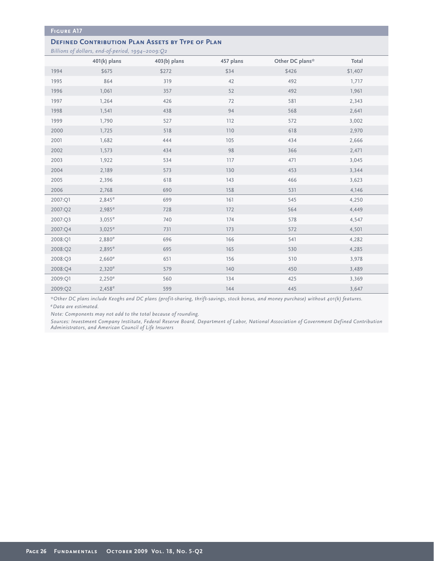#### **DEFINED CONTRIBUTION PLAN ASSETS BY TYPE OF PLAN**

*Billions of dollars, end-of-period, 1994–2009:Q2*

|         | $401(k)$ plans | 403(b) plans | 457 plans | Other DC plans* | Total   |
|---------|----------------|--------------|-----------|-----------------|---------|
| 1994    | \$675          | \$272        | \$34      | \$426           | \$1,407 |
| 1995    | 864            | 319          | 42        | 492             | 1,717   |
| 1996    | 1,061          | 357          | 52        | 492             | 1,961   |
| 1997    | 1,264          | 426          | 72        | 581             | 2,343   |
| 1998    | 1,541          | 438          | 94        | 568             | 2,641   |
| 1999    | 1,790          | 527          | 112       | 572             | 3,002   |
| 2000    | 1,725          | 518          | 110       | 618             | 2,970   |
| 2001    | 1,682          | 444          | 105       | 434             | 2,666   |
| 2002    | 1,573          | 434          | 98        | 366             | 2,471   |
| 2003    | 1,922          | 534          | 117       | 471             | 3,045   |
| 2004    | 2,189          | 573          | 130       | 453             | 3,344   |
| 2005    | 2,396          | 618          | 143       | 466             | 3,623   |
| 2006    | 2,768          | 690          | 158       | 531             | 4,146   |
| 2007:Q1 | $2,845^e$      | 699          | 161       | 545             | 4,250   |
| 2007:Q2 | $2,985^e$      | 728          | 172       | 564             | 4,449   |
| 2007:Q3 | $3,055^e$      | 740          | 174       | 578             | 4,547   |
| 2007:Q4 | $3,025^e$      | 731          | 173       | 572             | 4,501   |
| 2008:Q1 | $2,880^e$      | 696          | 166       | 541             | 4,282   |
| 2008:Q2 | $2,895^e$      | 695          | 165       | 530             | 4,285   |
| 2008:Q3 | $2,660^e$      | 651          | 156       | 510             | 3,978   |
| 2008:Q4 | $2,320^e$      | 579          | 140       | 450             | 3,489   |
| 2009:Q1 | $2,250^e$      | 560          | 134       | 425             | 3,369   |
| 2009:Q2 | $2,458^e$      | 599          | 144       | 445             | 3,647   |

*\*Other DC plans include Keoghs and DC plans (profit-sharing, thrift-savings, stock bonus, and money purchase) without 401(k) features. eData are estimated.*

*Note: Components may not add to the total because of rounding.* 

*Sources: Investment Company Institute, Federal Reserve Board, Department of Labor, National Association of Government Defined Contribution Administrators, and American Council of Life Insurers*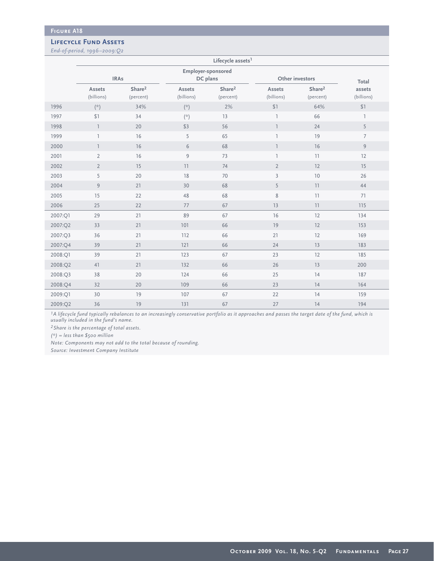#### **Lifecycle Fund Assets**

*End-of-period, 1996–2009:Q2*

|         | Lifecycle assets <sup>1</sup>               |                                 |                             |                                 |                          |                                 |                      |  |  |  |  |  |
|---------|---------------------------------------------|---------------------------------|-----------------------------|---------------------------------|--------------------------|---------------------------------|----------------------|--|--|--|--|--|
|         |                                             | <b>IRAs</b>                     |                             | Employer-sponsored<br>DC plans  |                          | Other investors                 | Total                |  |  |  |  |  |
|         | Assets<br>(billions)                        | Share <sup>2</sup><br>(percent) | Assets<br>(billions)        | Share <sup>2</sup><br>(percent) | Assets<br>(billions)     | Share <sup>2</sup><br>(percent) | assets<br>(billions) |  |  |  |  |  |
| 1996    | $\left( \overset{\rightarrow}{\sim}\right)$ | 34%                             | $(\dot{\mathcal{C}})$       | 2%                              | $$1$                     | 64%                             | \$1                  |  |  |  |  |  |
| 1997    | \$1                                         | 34                              | $\left( \mathcal{R}\right)$ | 13                              | $\overline{\phantom{a}}$ | 66                              | $\overline{1}$       |  |  |  |  |  |
| 1998    | $\overline{1}$                              | 20                              | \$3                         | 56                              | $\overline{1}$           | 24                              | 5                    |  |  |  |  |  |
| 1999    | $\overline{1}$                              | $16$                            | 5                           | 65                              | 1                        | 19                              | $\overline{7}$       |  |  |  |  |  |
| 2000    | $\overline{1}$                              | 16                              | 6                           | 68                              | $\overline{1}$           | 16                              | $\overline{9}$       |  |  |  |  |  |
| 2001    | $\overline{2}$                              | 16                              | 9                           | 73                              | $\overline{1}$           | 11                              | 12                   |  |  |  |  |  |
| 2002    | $\overline{2}$                              | 15                              | 11                          | 74                              | $\overline{2}$           | 12                              | 15                   |  |  |  |  |  |
| 2003    | 5                                           | 20                              | $18\,$                      | 70                              | $\mathbf{3}$             | 10                              | 26                   |  |  |  |  |  |
| 2004    | $\overline{9}$                              | 21                              | 30                          | 68                              | 5                        | 11                              | 44                   |  |  |  |  |  |
| 2005    | 15                                          | 22                              | 48                          | 68                              | 8                        | 11                              | 71                   |  |  |  |  |  |
| 2006    | 25                                          | 22                              | 77                          | 67                              | 13                       | 11                              | 115                  |  |  |  |  |  |
| 2007:Q1 | 29                                          | 21                              | 89                          | 67                              | 16                       | 12                              | 134                  |  |  |  |  |  |
| 2007:Q2 | 33                                          | 21                              | 101                         | 66                              | 19                       | 12                              | 153                  |  |  |  |  |  |
| 2007:Q3 | 36                                          | 21                              | 112                         | 66                              | 21                       | 12                              | 169                  |  |  |  |  |  |
| 2007:Q4 | 39                                          | 21                              | 121                         | 66                              | 24                       | 13                              | 183                  |  |  |  |  |  |
| 2008:Q1 | 39                                          | 21                              | 123                         | 67                              | 23                       | 12                              | 185                  |  |  |  |  |  |
| 2008:Q2 | 41                                          | 21                              | 132                         | 66                              | 26                       | 13                              | 200                  |  |  |  |  |  |
| 2008:Q3 | 38                                          | 20                              | 124                         | 66                              | 25                       | 14                              | 187                  |  |  |  |  |  |
| 2008:Q4 | 32                                          | 20                              | 109                         | 66                              | 23                       | 14                              | 164                  |  |  |  |  |  |
| 2009:Q1 | 30                                          | 19                              | 107                         | 67                              | 22                       | 14                              | 159                  |  |  |  |  |  |
| 2009:Q2 | 36                                          | 19                              | 131                         | 67                              | 27                       | 14                              | 194                  |  |  |  |  |  |

*1A lifecycle fund typically rebalances to an increasingly conservative portfolio as it approaches and passes the target date of the fund, which is usually included in the fund's name.*

*2Share is the percentage of total assets.*

*(\*) = less than \$500 million*

*Note: Components may not add to the total because of rounding.*